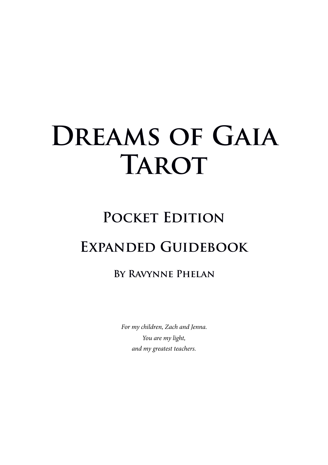# DREAMS OF GAIA **TAROT**

## POCKET EDITION **Expanded Guidebook**

### **By Ravynne Phelan**

*For my children, Zach and Jenna. You are my light, and my greatest teachers.*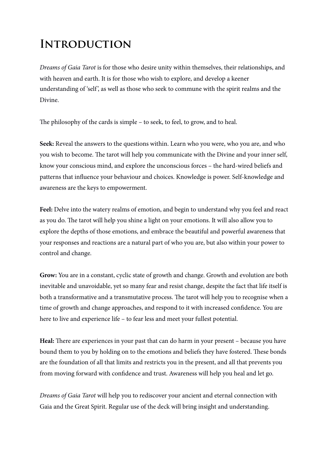## **Introduction**

*Dreams of Gaia Tarot* is for those who desire unity within themselves, their relationships, and with heaven and earth. It is for those who wish to explore, and develop a keener understanding of 'self', as well as those who seek to commune with the spirit realms and the Divine.

The philosophy of the cards is simple – to seek, to feel, to grow, and to heal.

Seek: Reveal the answers to the questions within. Learn who you were, who you are, and who you wish to become. The tarot will help you communicate with the Divine and your inner self, know your conscious mind, and explore the unconscious forces – the hard-wired beliefs and patterns that infuence your behaviour and choices. Knowledge is power. Self-knowledge and awareness are the keys to empowerment.

Feel: Delve into the watery realms of emotion, and begin to understand why you feel and react as you do. The tarot will help you shine a light on your emotions. It will also allow you to explore the depths of those emotions, and embrace the beautiful and powerful awareness that your responses and reactions are a natural part of who you are, but also within your power to control and change.

**Grow:** You are in a constant, cyclic state of growth and change. Growth and evolution are both inevitable and unavoidable, yet so many fear and resist change, despite the fact that life itself is both a transformative and a transmutative process. The tarot will help you to recognise when a time of growth and change approaches, and respond to it with increased confdence. You are here to live and experience life – to fear less and meet your fullest potential.

Heal: There are experiences in your past that can do harm in your present – because you have bound them to you by holding on to the emotions and beliefs they have fostered. These bonds are the foundation of all that limits and restricts you in the present, and all that prevents you from moving forward with confdence and trust. Awareness will help you heal and let go.

*Dreams of Gaia Tarot* will help you to rediscover your ancient and eternal connection with Gaia and the Great Spirit. Regular use of the deck will bring insight and understanding.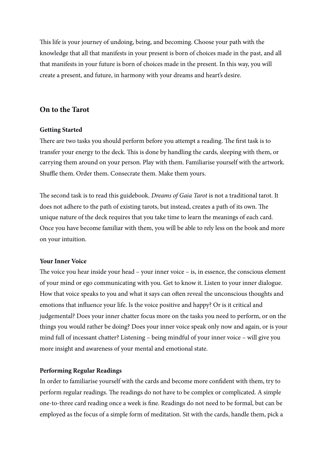This life is your journey of undoing, being, and becoming. Choose your path with the knowledge that all that manifests in your present is born of choices made in the past, and all that manifests in your future is born of choices made in the present. In this way, you will create a present, and future, in harmony with your dreams and heart's desire.

#### **On to the Tarot**

#### **Getting Started**

There are two tasks you should perform before you attempt a reading. The first task is to transfer your energy to the deck. This is done by handling the cards, sleeping with them, or carrying them around on your person. Play with them. Familiarise yourself with the artwork. Shuffle them. Order them. Consecrate them. Make them yours.

The second task is to read this guidebook. *Dreams of Gaia Tarot* is not a traditional tarot. It does not adhere to the path of existing tarots, but instead, creates a path of its own. The unique nature of the deck requires that you take time to learn the meanings of each card. Once you have become familiar with them, you will be able to rely less on the book and more on your intuition.

#### **Your Inner Voice**

The voice you hear inside your head – your inner voice – is, in essence, the conscious element of your mind or ego communicating with you. Get to know it. Listen to your inner dialogue. How that voice speaks to you and what it says can often reveal the unconscious thoughts and emotions that infuence your life. Is the voice positive and happy? Or is it critical and judgemental? Does your inner chatter focus more on the tasks you need to perform, or on the things you would rather be doing? Does your inner voice speak only now and again, or is your mind full of incessant chatter? Listening – being mindful of your inner voice – will give you more insight and awareness of your mental and emotional state.

#### **Performing Regular Readings**

In order to familiarise yourself with the cards and become more confdent with them, try to perform regular readings. The readings do not have to be complex or complicated. A simple one-to-three card reading once a week is fne. Readings do not need to be formal, but can be employed as the focus of a simple form of meditation. Sit with the cards, handle them, pick a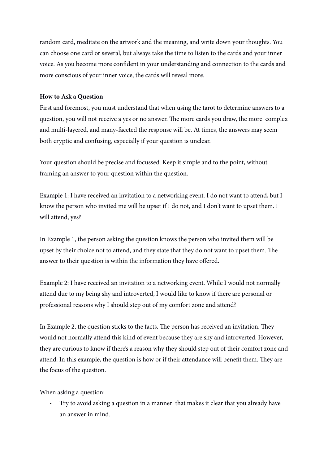random card, meditate on the artwork and the meaning, and write down your thoughts. You can choose one card or several, but always take the time to listen to the cards and your inner voice. As you become more confdent in your understanding and connection to the cards and more conscious of your inner voice, the cards will reveal more.

#### **How to Ask a Question**

First and foremost, you must understand that when using the tarot to determine answers to a question, you will not receive a yes or no answer. The more cards you draw, the more complex and multi-layered, and many-faceted the response will be. At times, the answers may seem both cryptic and confusing, especially if your question is unclear.

Your question should be precise and focussed. Keep it simple and to the point, without framing an answer to your question within the question.

Example 1: I have received an invitation to a networking event. I do not want to attend, but I know the person who invited me will be upset if I do not, and I don't want to upset them. I will attend, yes?

In Example 1, the person asking the question knows the person who invited them will be upset by their choice not to attend, and they state that they do not want to upset them. The answer to their question is within the information they have offered.

Example 2: I have received an invitation to a networking event. While I would not normally attend due to my being shy and introverted, I would like to know if there are personal or professional reasons why I should step out of my comfort zone and attend?

In Example 2, the question sticks to the facts. The person has received an invitation. They would not normally attend this kind of event because they are shy and introverted. However, they are curious to know if there's a reason why they should step out of their comfort zone and attend. In this example, the question is how or if their attendance will benefit them. They are the focus of the question.

When asking a question:

- Try to avoid asking a question in a manner that makes it clear that you already have an answer in mind.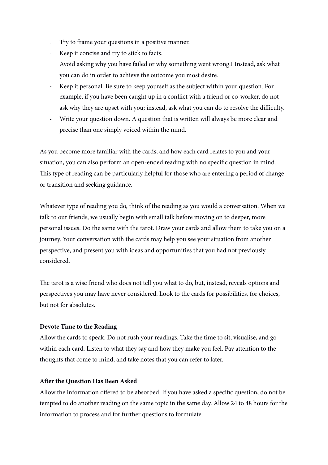- Try to frame your questions in a positive manner.
- Keep it concise and try to stick to facts. Avoid asking why you have failed or why something went wrong.I Instead, ask what you can do in order to achieve the outcome you most desire.
- Keep it personal. Be sure to keep yourself as the subject within your question. For example, if you have been caught up in a confict with a friend or co-worker, do not ask why they are upset with you; instead, ask what you can do to resolve the difficulty.
- Write your question down. A question that is written will always be more clear and precise than one simply voiced within the mind.

As you become more familiar with the cards, and how each card relates to you and your situation, you can also perform an open-ended reading with no specifc question in mind. This type of reading can be particularly helpful for those who are entering a period of change or transition and seeking guidance.

Whatever type of reading you do, think of the reading as you would a conversation. When we talk to our friends, we usually begin with small talk before moving on to deeper, more personal issues. Do the same with the tarot. Draw your cards and allow them to take you on a journey. Your conversation with the cards may help you see your situation from another perspective, and present you with ideas and opportunities that you had not previously considered.

The tarot is a wise friend who does not tell you what to do, but, instead, reveals options and perspectives you may have never considered. Look to the cards for possibilities, for choices, but not for absolutes.

#### **Devote Time to the Reading**

Allow the cards to speak. Do not rush your readings. Take the time to sit, visualise, and go within each card. Listen to what they say and how they make you feel. Pay attention to the thoughts that come to mind, and take notes that you can refer to later.

#### **Afer the Question Has Been Asked**

Allow the information offered to be absorbed. If you have asked a specifc question, do not be tempted to do another reading on the same topic in the same day. Allow 24 to 48 hours for the information to process and for further questions to formulate.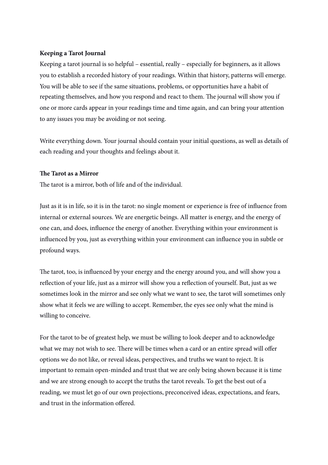#### **Keeping a Tarot Journal**

Keeping a tarot journal is so helpful – essential, really – especially for beginners, as it allows you to establish a recorded history of your readings. Within that history, patterns will emerge. You will be able to see if the same situations, problems, or opportunities have a habit of repeating themselves, and how you respond and react to them. The journal will show you if one or more cards appear in your readings time and time again, and can bring your attention to any issues you may be avoiding or not seeing.

Write everything down. Your journal should contain your initial questions, as well as details of each reading and your thoughts and feelings about it.

#### **Te Tarot as a Mirror**

The tarot is a mirror, both of life and of the individual.

Just as it is in life, so it is in the tarot: no single moment or experience is free of infuence from internal or external sources. We are energetic beings. All matter is energy, and the energy of one can, and does, infuence the energy of another. Everything within your environment is infuenced by you, just as everything within your environment can infuence you in subtle or profound ways.

The tarot, too, is influenced by your energy and the energy around you, and will show you a refection of your life, just as a mirror will show you a refection of yourself. But, just as we sometimes look in the mirror and see only what we want to see, the tarot will sometimes only show what it feels we are willing to accept. Remember, the eyes see only what the mind is willing to conceive.

For the tarot to be of greatest help, we must be willing to look deeper and to acknowledge what we may not wish to see. There will be times when a card or an entire spread will offer options we do not like, or reveal ideas, perspectives, and truths we want to reject. It is important to remain open-minded and trust that we are only being shown because it is time and we are strong enough to accept the truths the tarot reveals. To get the best out of a reading, we must let go of our own projections, preconceived ideas, expectations, and fears, and trust in the information offered.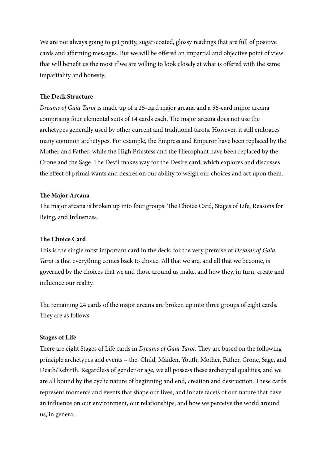We are not always going to get pretty, sugar-coated, glossy readings that are full of positive cards and affirming messages. But we will be offered an impartial and objective point of view that will beneft us the most if we are willing to look closely at what is offered with the same impartiality and honesty.

#### **The Deck Structure**

*Dreams of Gaia Tarot* is made up of a 25-card major arcana and a 56-card minor arcana comprising four elemental suits of 14 cards each. The major arcana does not use the archetypes generally used by other current and traditional tarots. However, it still embraces many common archetypes. For example, the Empress and Emperor have been replaced by the Mother and Father, while the High Priestess and the Hierophant have been replaced by the Crone and the Sage. The Devil makes way for the Desire card, which explores and discusses the effect of primal wants and desires on our ability to weigh our choices and act upon them.

#### **Te Major Arcana**

The major arcana is broken up into four groups: The Choice Card, Stages of Life, Reasons for Being, and Infuences.

#### **The Choice Card**

This is the single most important card in the deck, for the very premise of *Dreams of Gaia Tarot* is that everything comes back to choice. All that we are, and all that we become, is governed by the choices that we and those around us make, and how they, in turn, create and infuence our reality.

The remaining 24 cards of the major arcana are broken up into three groups of eight cards. They are as follows:

#### **Stages of Life**

There are eight Stages of Life cards in *Dreams of Gaia Tarot*. They are based on the following principle archetypes and events – the Child, Maiden, Youth, Mother, Father, Crone, Sage, and Death/Rebirth. Regardless of gender or age, we all possess these archetypal qualities, and we are all bound by the cyclic nature of beginning and end, creation and destruction. These cards represent moments and events that shape our lives, and innate facets of our nature that have an infuence on our environment, our relationships, and how we perceive the world around us, in general.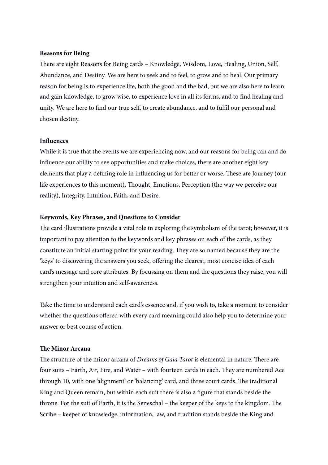#### **Reasons for Being**

There are eight Reasons for Being cards - Knowledge, Wisdom, Love, Healing, Union, Self, Abundance, and Destiny. We are here to seek and to feel, to grow and to heal. Our primary reason for being is to experience life, both the good and the bad, but we are also here to learn and gain knowledge, to grow wise, to experience love in all its forms, and to fnd healing and unity. We are here to fnd our true self, to create abundance, and to fulfl our personal and chosen destiny.

#### **Infuences**

While it is true that the events we are experiencing now, and our reasons for being can and do infuence our ability to see opportunities and make choices, there are another eight key elements that play a defining role in influencing us for better or worse. These are Journey (our life experiences to this moment), Thought, Emotions, Perception (the way we perceive our reality), Integrity, Intuition, Faith, and Desire.

#### **Keywords, Key Phrases, and Questions to Consider**

The card illustrations provide a vital role in exploring the symbolism of the tarot; however, it is important to pay attention to the keywords and key phrases on each of the cards, as they constitute an initial starting point for your reading. They are so named because they are the 'keys' to discovering the answers you seek, offering the clearest, most concise idea of each card's message and core attributes. By focussing on them and the questions they raise, you will strengthen your intuition and self-awareness.

Take the time to understand each card's essence and, if you wish to, take a moment to consider whether the questions offered with every card meaning could also help you to determine your answer or best course of action.

#### **Te Minor Arcana**

The structure of the minor arcana of *Dreams of Gaia Tarot* is elemental in nature. There are four suits – Earth, Air, Fire, and Water – with fourteen cards in each. They are numbered Ace through 10, with one 'alignment' or 'balancing' card, and three court cards. The traditional King and Queen remain, but within each suit there is also a fgure that stands beside the throne. For the suit of Earth, it is the Seneschal – the keeper of the keys to the kingdom. The Scribe – keeper of knowledge, information, law, and tradition stands beside the King and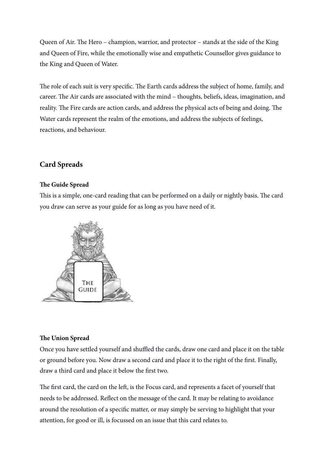Queen of Air. The Hero – champion, warrior, and protector – stands at the side of the King and Queen of Fire, while the emotionally wise and empathetic Counsellor gives guidance to the King and Queen of Water.

The role of each suit is very specific. The Earth cards address the subject of home, family, and career. The Air cards are associated with the mind - thoughts, beliefs, ideas, imagination, and reality. The Fire cards are action cards, and address the physical acts of being and doing. The Water cards represent the realm of the emotions, and address the subjects of feelings, reactions, and behaviour.

#### **Card Spreads**

#### **Te Guide Spread**

This is a simple, one-card reading that can be performed on a daily or nightly basis. The card you draw can serve as your guide for as long as you have need of it.



#### **Te Union Spread**

Once you have settled yourself and shuffled the cards, draw one card and place it on the table or ground before you. Now draw a second card and place it to the right of the frst. Finally, draw a third card and place it below the frst two.

The first card, the card on the left, is the Focus card, and represents a facet of yourself that needs to be addressed. Refect on the message of the card. It may be relating to avoidance around the resolution of a specifc matter, or may simply be serving to highlight that your attention, for good or ill, is focussed on an issue that this card relates to.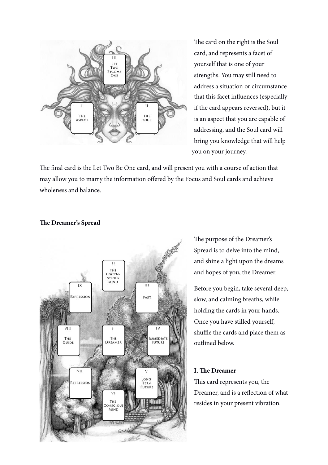

The card on the right is the Soul card, and represents a facet of yourself that is one of your strengths. You may still need to address a situation or circumstance that this facet infuences (especially if the card appears reversed), but it is an aspect that you are capable of addressing, and the Soul card will bring you knowledge that will help you on your journey.

The final card is the Let Two Be One card, and will present you with a course of action that may allow you to marry the information offered by the Focus and Soul cards and achieve wholeness and balance.



#### **Te Dreamer's Spread**

The purpose of the Dreamer's Spread is to delve into the mind, and shine a light upon the dreams and hopes of you, the Dreamer.

Before you begin, take several deep, slow, and calming breaths, while holding the cards in your hands. Once you have stilled yourself, shuffle the cards and place them as outlined below.

#### **I. Te Dreamer**

This card represents you, the Dreamer, and is a refection of what resides in your present vibration.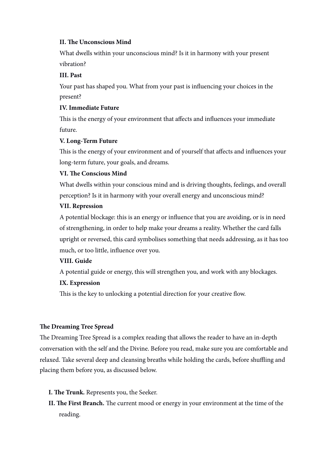#### **II. Te Unconscious Mind**

What dwells within your unconscious mind? Is it in harmony with your present vibration?

#### **III. Past**

Your past has shaped you. What from your past is infuencing your choices in the present?

#### **IV. Immediate Future**

This is the energy of your environment that affects and influences your immediate future.

#### **V. Long-Term Future**

Tis is the energy of your environment and of yourself that affects and infuences your long-term future, your goals, and dreams.

#### **VI. Te Conscious Mind**

What dwells within your conscious mind and is driving thoughts, feelings, and overall perception? Is it in harmony with your overall energy and unconscious mind?

#### **VII. Repression**

A potential blockage: this is an energy or infuence that you are avoiding, or is in need of strengthening, in order to help make your dreams a reality. Whether the card falls upright or reversed, this card symbolises something that needs addressing, as it has too much, or too little, infuence over you.

#### **VIII. Guide**

A potential guide or energy, this will strengthen you, and work with any blockages.

#### **IX. Expression**

This is the key to unlocking a potential direction for your creative flow.

#### **Te Dreaming Tree Spread**

The Dreaming Tree Spread is a complex reading that allows the reader to have an in-depth conversation with the self and the Divine. Before you read, make sure you are comfortable and relaxed. Take several deep and cleansing breaths while holding the cards, before shuffling and placing them before you, as discussed below.

- **I. Te Trunk.** Represents you, the Seeker.
- **II. The First Branch.** The current mood or energy in your environment at the time of the reading.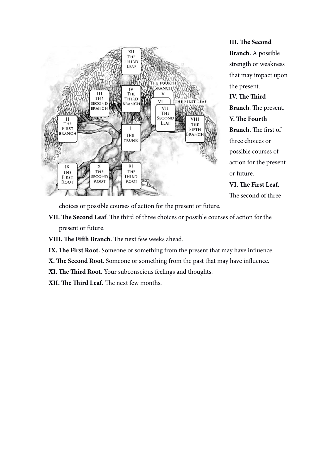

**III. Te Second Branch.** A possible strength or weakness that may impact upon the present. **IV. Te Tird Branch**. The present. **V. Te Fourth Branch.** The first of three choices or possible courses of action for the present or future. **VI. Te First Leaf.** The second of three

choices or possible courses of action for the present or future.

- VII. The Second Leaf. The third of three choices or possible courses of action for the present or future.
- **VIII. The Fifth Branch.** The next few weeks ahead.
- IX. The First Root. Someone or something from the present that may have influence.
- **X. Te Second Root**. Someone or something from the past that may have infuence.
- **XI. Te Tird Root.** Your subconscious feelings and thoughts.
- **XII. The Third Leaf.** The next few months.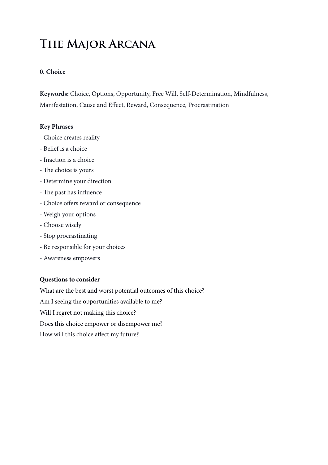## **The Major Arcana**

#### **0. Choice**

**Keywords:** Choice, Options, Opportunity, Free Will, Self-Determination, Mindfulness, Manifestation, Cause and Effect, Reward, Consequence, Procrastination

#### **Key Phrases**

- Choice creates reality
- Belief is a choice
- Inaction is a choice
- The choice is yours
- Determine your direction
- The past has influence
- Choice offers reward or consequence
- Weigh your options
- Choose wisely
- Stop procrastinating
- Be responsible for your choices
- Awareness empowers

#### **Questions to consider**

What are the best and worst potential outcomes of this choice? Am I seeing the opportunities available to me? Will I regret not making this choice? Does this choice empower or disempower me? How will this choice affect my future?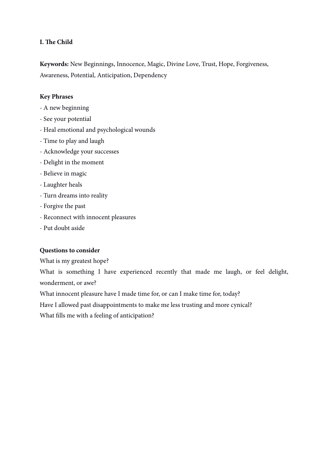#### **I. Te Child**

**Keywords:** New Beginnings, Innocence, Magic, Divine Love, Trust, Hope, Forgiveness, Awareness, Potential, Anticipation, Dependency

#### **Key Phrases**

- A new beginning
- See your potential
- Heal emotional and psychological wounds
- Time to play and laugh
- Acknowledge your successes
- Delight in the moment
- Believe in magic
- Laughter heals
- Turn dreams into reality
- Forgive the past
- Reconnect with innocent pleasures
- Put doubt aside

#### **Questions to consider**

What is my greatest hope?

What is something I have experienced recently that made me laugh, or feel delight, wonderment, or awe?

What innocent pleasure have I made time for, or can I make time for, today?

Have I allowed past disappointments to make me less trusting and more cynical?

What flls me with a feeling of anticipation?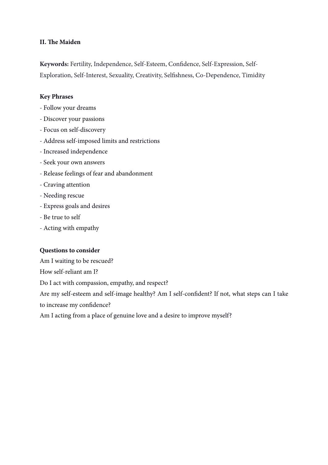#### **II. Te Maiden**

**Keywords:** Fertility, Independence, Self-Esteem, Confdence, Self-Expression, Self-Exploration, Self-Interest, Sexuality, Creativity, Selfshness, Co-Dependence, Timidity

#### **Key Phrases**

- Follow your dreams
- Discover your passions
- Focus on self-discovery
- Address self-imposed limits and restrictions
- Increased independence
- Seek your own answers
- Release feelings of fear and abandonment
- Craving attention
- Needing rescue
- Express goals and desires
- Be true to self
- Acting with empathy

#### **Questions to consider**

Am I waiting to be rescued?

How self-reliant am I?

Do I act with compassion, empathy, and respect?

Are my self-esteem and self-image healthy? Am I self-confdent? If not, what steps can I take to increase my confdence?

Am I acting from a place of genuine love and a desire to improve myself?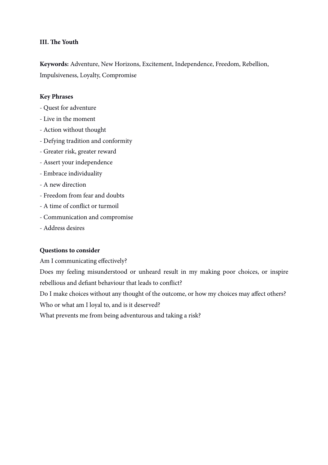#### **III. Te Youth**

**Keywords:** Adventure, New Horizons, Excitement, Independence, Freedom, Rebellion, Impulsiveness, Loyalty, Compromise

#### **Key Phrases**

- Quest for adventure
- Live in the moment
- Action without thought
- Defying tradition and conformity
- Greater risk, greater reward
- Assert your independence
- Embrace individuality
- A new direction
- Freedom from fear and doubts
- A time of confict or turmoil
- Communication and compromise
- Address desires

#### **Questions to consider**

Am I communicating effectively?

Does my feeling misunderstood or unheard result in my making poor choices, or inspire rebellious and defant behaviour that leads to confict?

Do I make choices without any thought of the outcome, or how my choices may affect others?

Who or what am I loyal to, and is it deserved?

What prevents me from being adventurous and taking a risk?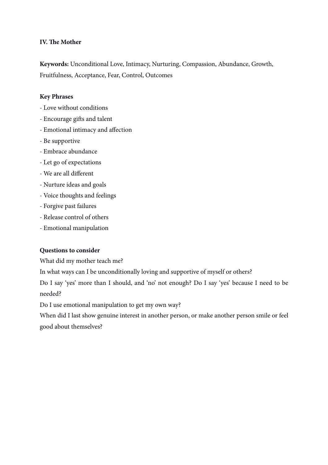#### **IV. Te Mother**

**Keywords:** Unconditional Love, Intimacy, Nurturing, Compassion, Abundance, Growth, Fruitfulness, Acceptance, Fear, Control, Outcomes

#### **Key Phrases**

- Love without conditions
- Encourage gifs and talent
- Emotional intimacy and affection
- Be supportive
- Embrace abundance
- Let go of expectations
- We are all different
- Nurture ideas and goals
- Voice thoughts and feelings
- Forgive past failures
- Release control of others
- Emotional manipulation

#### **Questions to consider**

What did my mother teach me?

In what ways can I be unconditionally loving and supportive of myself or others?

Do I say 'yes' more than I should, and 'no' not enough? Do I say 'yes' because I need to be needed?

Do I use emotional manipulation to get my own way?

When did I last show genuine interest in another person, or make another person smile or feel good about themselves?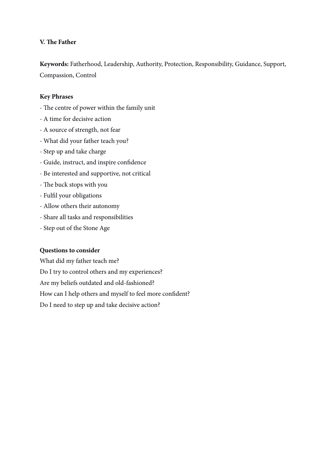#### **V. Te Father**

**Keywords:** Fatherhood, Leadership, Authority, Protection, Responsibility, Guidance, Support, Compassion, Control

#### **Key Phrases**

- The centre of power within the family unit
- A time for decisive action
- A source of strength, not fear
- What did your father teach you?
- Step up and take charge
- Guide, instruct, and inspire confdence
- Be interested and supportive, not critical
- The buck stops with you
- Fulfl your obligations
- Allow others their autonomy
- Share all tasks and responsibilities
- Step out of the Stone Age

#### **Questions to consider**

What did my father teach me? Do I try to control others and my experiences? Are my beliefs outdated and old-fashioned?

How can I help others and myself to feel more confident?

Do I need to step up and take decisive action?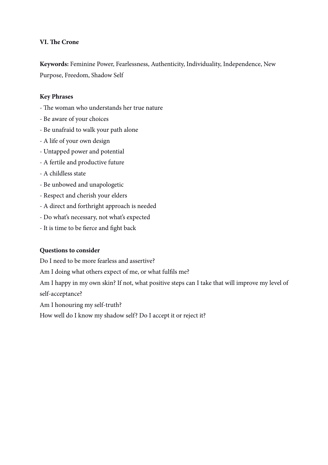#### **VI. Te Crone**

**Keywords:** Feminine Power, Fearlessness, Authenticity, Individuality, Independence, New Purpose, Freedom, Shadow Self

#### **Key Phrases**

- The woman who understands her true nature
- Be aware of your choices
- Be unafraid to walk your path alone
- A life of your own design
- Untapped power and potential
- A fertile and productive future
- A childless state
- Be unbowed and unapologetic
- Respect and cherish your elders
- A direct and forthright approach is needed
- Do what's necessary, not what's expected
- It is time to be ferce and fght back

#### **Questions to consider**

Do I need to be more fearless and assertive?

Am I doing what others expect of me, or what fulfls me?

Am I happy in my own skin? If not, what positive steps can I take that will improve my level of self-acceptance?

Am I honouring my self-truth?

How well do I know my shadow self? Do I accept it or reject it?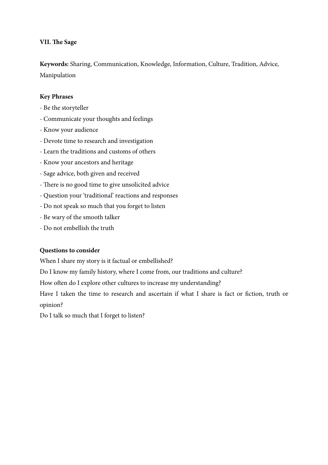#### **VII. Te Sage**

**Keywords:** Sharing, Communication, Knowledge, Information, Culture, Tradition, Advice, Manipulation

#### **Key Phrases**

- Be the storyteller
- Communicate your thoughts and feelings
- Know your audience
- Devote time to research and investigation
- Learn the traditions and customs of others
- Know your ancestors and heritage
- Sage advice, both given and received
- There is no good time to give unsolicited advice
- Question your 'traditional' reactions and responses
- Do not speak so much that you forget to listen
- Be wary of the smooth talker
- Do not embellish the truth

#### **Questions to consider**

When I share my story is it factual or embellished?

Do I know my family history, where I come from, our traditions and culture?

How often do I explore other cultures to increase my understanding?

Have I taken the time to research and ascertain if what I share is fact or fiction, truth or opinion?

Do I talk so much that I forget to listen?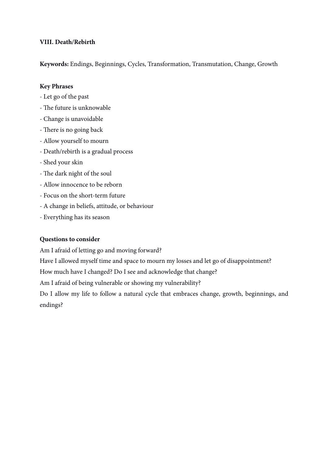#### **VIII. Death/Rebirth**

**Keywords:** Endings, Beginnings, Cycles, Transformation, Transmutation, Change, Growth

#### **Key Phrases**

- Let go of the past
- The future is unknowable
- Change is unavoidable
- There is no going back
- Allow yourself to mourn
- Death/rebirth is a gradual process
- Shed your skin
- The dark night of the soul
- Allow innocence to be reborn
- Focus on the short-term future
- A change in beliefs, attitude, or behaviour
- Everything has its season

#### **Questions to consider**

Am I afraid of letting go and moving forward?

Have I allowed myself time and space to mourn my losses and let go of disappointment?

How much have I changed? Do I see and acknowledge that change?

Am I afraid of being vulnerable or showing my vulnerability?

Do I allow my life to follow a natural cycle that embraces change, growth, beginnings, and endings?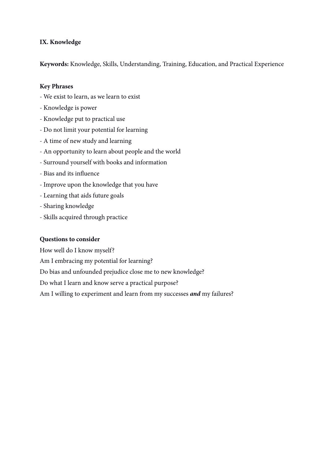#### **IX. Knowledge**

**Keywords:** Knowledge, Skills, Understanding, Training, Education, and Practical Experience

#### **Key Phrases**

- We exist to learn, as we learn to exist
- Knowledge is power
- Knowledge put to practical use
- Do not limit your potential for learning
- A time of new study and learning
- An opportunity to learn about people and the world
- Surround yourself with books and information
- Bias and its infuence
- Improve upon the knowledge that you have
- Learning that aids future goals
- Sharing knowledge
- Skills acquired through practice

#### **Questions to consider**

How well do I know myself?

Am I embracing my potential for learning?

Do bias and unfounded prejudice close me to new knowledge?

Do what I learn and know serve a practical purpose?

Am I willing to experiment and learn from my successes *and* my failures?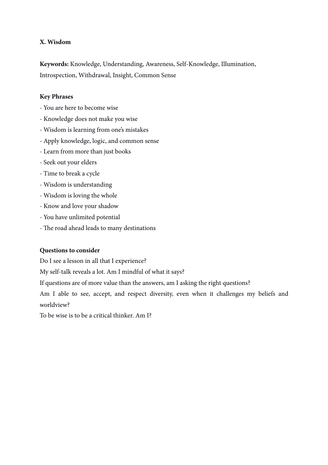#### **X. Wisdom**

**Keywords:** Knowledge, Understanding, Awareness, Self-Knowledge, Illumination, Introspection, Withdrawal, Insight, Common Sense

#### **Key Phrases**

- You are here to become wise
- Knowledge does not make you wise
- Wisdom is learning from one's mistakes
- Apply knowledge, logic, and common sense
- Learn from more than just books
- Seek out your elders
- Time to break a cycle
- Wisdom is understanding
- Wisdom is loving the whole
- Know and love your shadow
- You have unlimited potential
- The road ahead leads to many destinations

#### **Questions to consider**

Do I see a lesson in all that I experience?

My self-talk reveals a lot. Am I mindful of what it says?

If questions are of more value than the answers, am I asking the right questions?

Am I able to see, accept, and respect diversity, even when it challenges my beliefs and worldview?

To be wise is to be a critical thinker. Am I?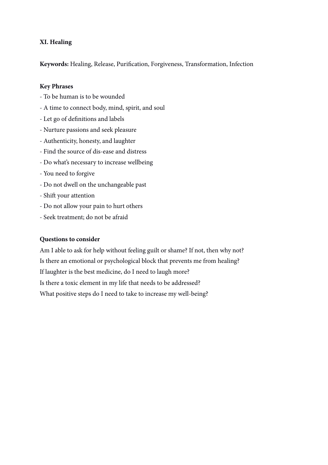#### **XI. Healing**

**Keywords:** Healing, Release, Purifcation, Forgiveness, Transformation, Infection

#### **Key Phrases**

- To be human is to be wounded
- A time to connect body, mind, spirit, and soul
- Let go of defnitions and labels
- Nurture passions and seek pleasure
- Authenticity, honesty, and laughter
- Find the source of dis-ease and distress
- Do what's necessary to increase wellbeing
- You need to forgive
- Do not dwell on the unchangeable past
- Shift your attention
- Do not allow your pain to hurt others
- Seek treatment; do not be afraid

#### **Questions to consider**

Am I able to ask for help without feeling guilt or shame? If not, then why not? Is there an emotional or psychological block that prevents me from healing? If laughter is the best medicine, do I need to laugh more? Is there a toxic element in my life that needs to be addressed? What positive steps do I need to take to increase my well-being?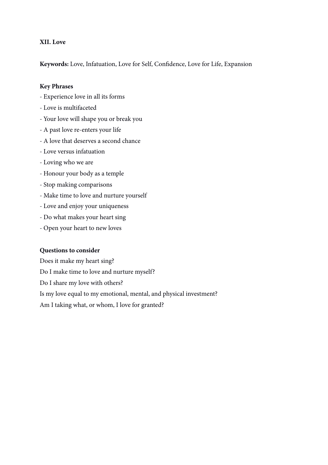#### **XII. Love**

**Keywords:** Love, Infatuation, Love for Self, Confdence, Love for Life, Expansion

#### **Key Phrases**

- Experience love in all its forms
- Love is multifaceted
- Your love will shape you or break you
- A past love re-enters your life
- A love that deserves a second chance
- Love versus infatuation
- Loving who we are
- Honour your body as a temple
- Stop making comparisons
- Make time to love and nurture yourself
- Love and enjoy your uniqueness
- Do what makes your heart sing
- Open your heart to new loves

#### **Questions to consider**

Does it make my heart sing? Do I make time to love and nurture myself? Do I share my love with others? Is my love equal to my emotional, mental, and physical investment? Am I taking what, or whom, I love for granted?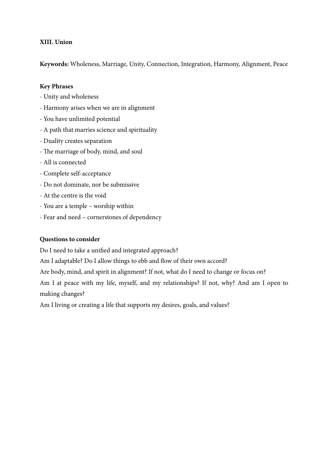#### **XIII. Union**

**Keywords:** Wholeness, Marriage, Unity, Connection, Integration, Harmony, Alignment, Peace

#### **Key Phrases**

- Unity and wholeness
- Harmony arises when we are in alignment
- You have unlimited potential
- A path that marries science and spirituality
- Duality creates separation
- The marriage of body, mind, and soul
- All is connected
- Complete self-acceptance
- Do not dominate, nor be submissive
- At the centre is the void
- You are a temple worship within
- Fear and need cornerstones of dependency

#### **Questions to consider**

Do I need to take a unifed and integrated approach?

Am I adaptable? Do I allow things to ebb and flow of their own accord?

Are body, mind, and spirit in alignment? If not, what do I need to change or focus on?

Am I at peace with my life, myself, and my relationships? If not, why? And am I open to making changes?

Am I living or creating a life that supports my desires, goals, and values?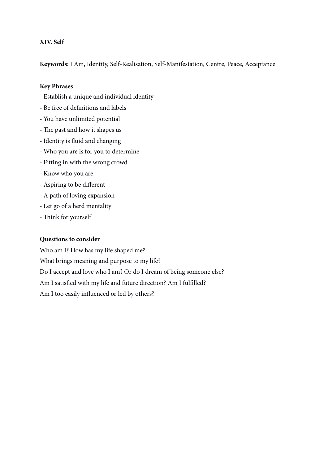#### **XIV. Self**

**Keywords:** I Am, Identity, Self-Realisation, Self-Manifestation, Centre, Peace, Acceptance

#### **Key Phrases**

- Establish a unique and individual identity
- Be free of defnitions and labels
- You have unlimited potential
- The past and how it shapes us
- Identity is fuid and changing
- Who you are is for you to determine
- Fitting in with the wrong crowd
- Know who you are
- Aspiring to be different
- A path of loving expansion
- Let go of a herd mentality
- Think for yourself

#### **Questions to consider**

Who am I? How has my life shaped me? What brings meaning and purpose to my life? Do I accept and love who I am? Or do I dream of being someone else? Am I satisfed with my life and future direction? Am I fulflled? Am I too easily infuenced or led by others?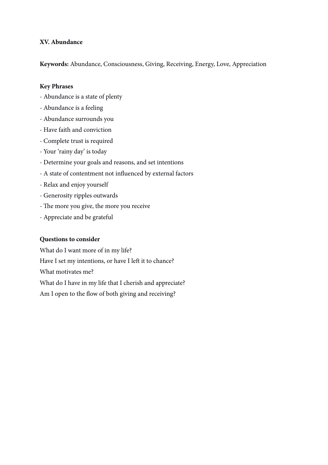#### **XV. Abundance**

**Keywords:** Abundance, Consciousness, Giving, Receiving, Energy, Love, Appreciation

#### **Key Phrases**

- Abundance is a state of plenty
- Abundance is a feeling
- Abundance surrounds you
- Have faith and conviction
- Complete trust is required
- Your 'rainy day' is today
- Determine your goals and reasons, and set intentions
- A state of contentment not infuenced by external factors
- Relax and enjoy yourself
- Generosity ripples outwards
- The more you give, the more you receive
- Appreciate and be grateful

#### **Questions to consider**

What do I want more of in my life? Have I set my intentions, or have I left it to chance? What motivates me? What do I have in my life that I cherish and appreciate? Am I open to the flow of both giving and receiving?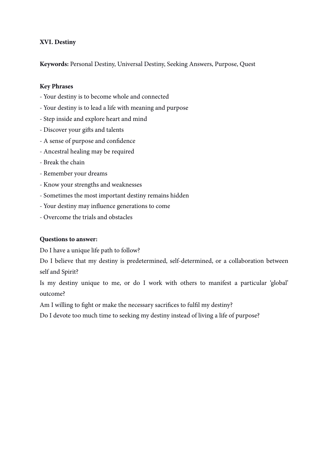#### **XVI. Destiny**

**Keywords:** Personal Destiny, Universal Destiny, Seeking Answers, Purpose, Quest

#### **Key Phrases**

- Your destiny is to become whole and connected
- Your destiny is to lead a life with meaning and purpose
- Step inside and explore heart and mind
- Discover your gifs and talents
- A sense of purpose and confdence
- Ancestral healing may be required
- Break the chain
- Remember your dreams
- Know your strengths and weaknesses
- Sometimes the most important destiny remains hidden
- Your destiny may infuence generations to come
- Overcome the trials and obstacles

#### **Questions to answer:**

Do I have a unique life path to follow?

Do I believe that my destiny is predetermined, self-determined, or a collaboration between self and Spirit?

Is my destiny unique to me, or do I work with others to manifest a particular 'global' outcome?

Am I willing to fght or make the necessary sacrifces to fulfl my destiny?

Do I devote too much time to seeking my destiny instead of living a life of purpose?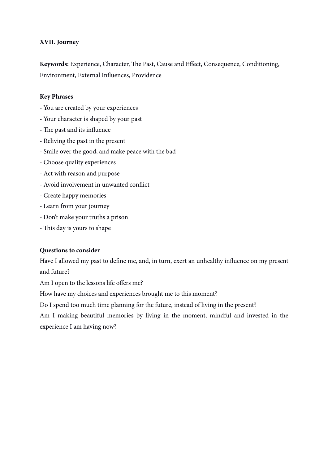#### **XVII. Journey**

Keywords: Experience, Character, The Past, Cause and Effect, Consequence, Conditioning, Environment, External Infuences, Providence

#### **Key Phrases**

- You are created by your experiences
- Your character is shaped by your past
- The past and its influence
- Reliving the past in the present
- Smile over the good, and make peace with the bad
- Choose quality experiences
- Act with reason and purpose
- Avoid involvement in unwanted confict
- Create happy memories
- Learn from your journey
- Don't make your truths a prison
- This day is yours to shape

#### **Questions to consider**

Have I allowed my past to defne me, and, in turn, exert an unhealthy infuence on my present and future?

Am I open to the lessons life offers me?

How have my choices and experiences brought me to this moment?

Do I spend too much time planning for the future, instead of living in the present?

Am I making beautiful memories by living in the moment, mindful and invested in the experience I am having now?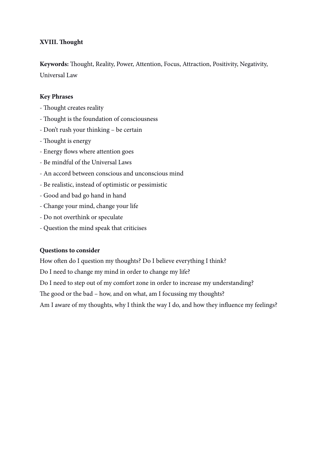#### **XVIII. Tought**

Keywords: Thought, Reality, Power, Attention, Focus, Attraction, Positivity, Negativity, Universal Law

#### **Key Phrases**

- Thought creates reality
- Tought is the foundation of consciousness
- Don't rush your thinking be certain
- Thought is energy
- Energy flows where attention goes
- Be mindful of the Universal Laws
- An accord between conscious and unconscious mind
- Be realistic, instead of optimistic or pessimistic
- Good and bad go hand in hand
- Change your mind, change your life
- Do not overthink or speculate
- Question the mind speak that criticises

#### **Questions to consider**

How often do I question my thoughts? Do I believe everything I think?

Do I need to change my mind in order to change my life?

Do I need to step out of my comfort zone in order to increase my understanding?

The good or the bad – how, and on what, am I focussing my thoughts?

Am I aware of my thoughts, why I think the way I do, and how they infuence my feelings?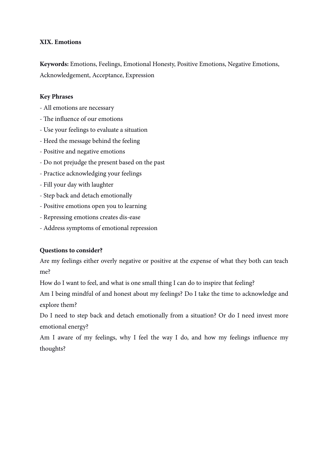#### **XIX. Emotions**

**Keywords:** Emotions, Feelings, Emotional Honesty, Positive Emotions, Negative Emotions, Acknowledgement, Acceptance, Expression

#### **Key Phrases**

- All emotions are necessary
- The influence of our emotions
- Use your feelings to evaluate a situation
- Heed the message behind the feeling
- Positive and negative emotions
- Do not prejudge the present based on the past
- Practice acknowledging your feelings
- Fill your day with laughter
- Step back and detach emotionally
- Positive emotions open you to learning
- Repressing emotions creates dis-ease
- Address symptoms of emotional repression

#### **Questions to consider?**

Are my feelings either overly negative or positive at the expense of what they both can teach me?

How do I want to feel, and what is one small thing I can do to inspire that feeling?

Am I being mindful of and honest about my feelings? Do I take the time to acknowledge and explore them?

Do I need to step back and detach emotionally from a situation? Or do I need invest more emotional energy?

Am I aware of my feelings, why I feel the way I do, and how my feelings infuence my thoughts?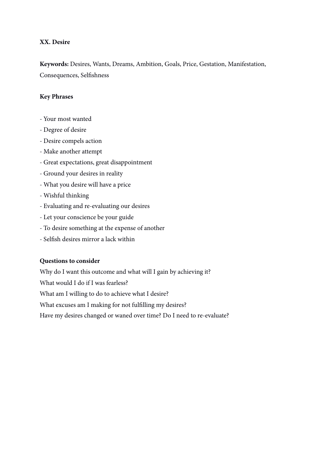#### **XX. Desire**

**Keywords:** Desires, Wants, Dreams, Ambition, Goals, Price, Gestation, Manifestation, Consequences, Selfshness

#### **Key Phrases**

- Your most wanted
- Degree of desire
- Desire compels action
- Make another attempt
- Great expectations, great disappointment
- Ground your desires in reality
- What you desire will have a price
- Wishful thinking
- Evaluating and re-evaluating our desires
- Let your conscience be your guide
- To desire something at the expense of another
- Selfsh desires mirror a lack within

#### **Questions to consider**

Why do I want this outcome and what will I gain by achieving it? What would I do if I was fearless? What am I willing to do to achieve what I desire? What excuses am I making for not fulflling my desires? Have my desires changed or waned over time? Do I need to re-evaluate?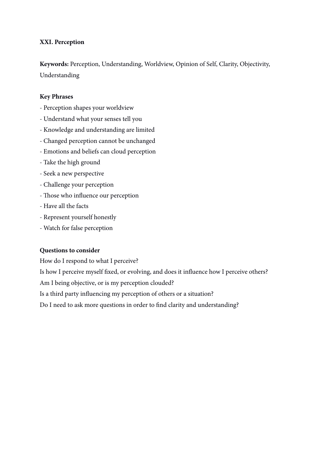#### **XXI. Perception**

**Keywords:** Perception, Understanding, Worldview, Opinion of Self, Clarity, Objectivity, Understanding

#### **Key Phrases**

- Perception shapes your worldview
- Understand what your senses tell you
- Knowledge and understanding are limited
- Changed perception cannot be unchanged
- Emotions and beliefs can cloud perception
- Take the high ground
- Seek a new perspective
- Challenge your perception
- Tose who infuence our perception
- Have all the facts
- Represent yourself honestly
- Watch for false perception

#### **Questions to consider**

How do I respond to what I perceive?

Is how I perceive myself fxed, or evolving, and does it infuence how I perceive others?

Am I being objective, or is my perception clouded?

Is a third party infuencing my perception of others or a situation?

Do I need to ask more questions in order to fnd clarity and understanding?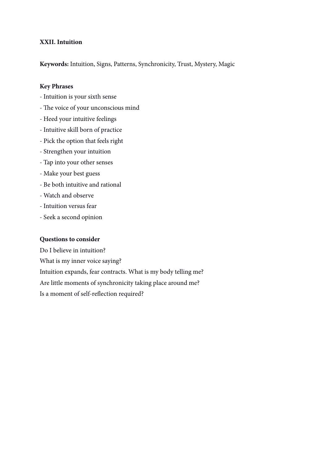#### **XXII. Intuition**

**Keywords:** Intuition, Signs, Patterns, Synchronicity, Trust, Mystery, Magic

#### **Key Phrases**

- Intuition is your sixth sense
- The voice of your unconscious mind
- Heed your intuitive feelings
- Intuitive skill born of practice
- Pick the option that feels right
- Strengthen your intuition
- Tap into your other senses
- Make your best guess
- Be both intuitive and rational
- Watch and observe
- Intuition versus fear
- Seek a second opinion

#### **Questions to consider**

Do I believe in intuition?

What is my inner voice saying?

Intuition expands, fear contracts. What is my body telling me?

Are little moments of synchronicity taking place around me?

Is a moment of self-refection required?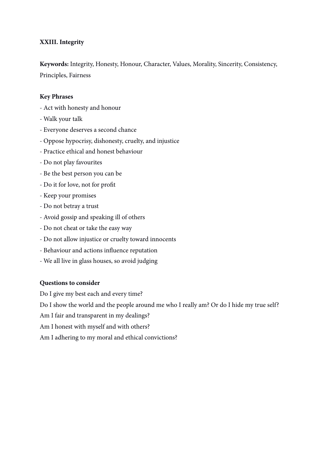#### **XXIII. Integrity**

**Keywords:** Integrity, Honesty, Honour, Character, Values, Morality, Sincerity, Consistency, Principles, Fairness

#### **Key Phrases**

- Act with honesty and honour
- Walk your talk
- Everyone deserves a second chance
- Oppose hypocrisy, dishonesty, cruelty, and injustice
- Practice ethical and honest behaviour
- Do not play favourites
- Be the best person you can be
- Do it for love, not for proft
- Keep your promises
- Do not betray a trust
- Avoid gossip and speaking ill of others
- Do not cheat or take the easy way
- Do not allow injustice or cruelty toward innocents
- Behaviour and actions infuence reputation
- We all live in glass houses, so avoid judging

#### **Questions to consider**

Do I give my best each and every time?

Do I show the world and the people around me who I really am? Or do I hide my true self?

Am I fair and transparent in my dealings?

Am I honest with myself and with others?

Am I adhering to my moral and ethical convictions?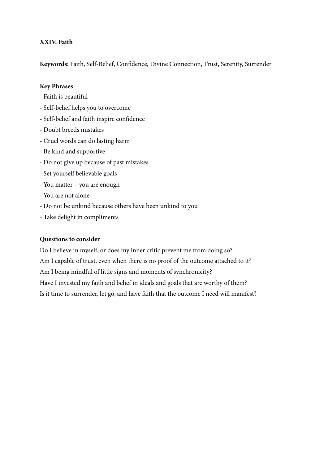#### **XXIV. Faith**

**Keywords:** Faith, Self-Belief, Confdence, Divine Connection, Trust, Serenity, Surrender

#### **Key Phrases**

- Faith is beautiful
- Self-belief helps you to overcome
- Self-belief and faith inspire confdence
- Doubt breeds mistakes
- Cruel words can do lasting harm
- Be kind and supportive
- Do not give up because of past mistakes
- Set yourself believable goals
- You matter you are enough
- You are not alone
- Do not be unkind because others have been unkind to you
- Take delight in compliments

#### **Questions to consider**

Do I believe in myself, or does my inner critic prevent me from doing so? Am I capable of trust, even when there is no proof of the outcome attached to it? Am I being mindful of little signs and moments of synchronicity? Have I invested my faith and belief in ideals and goals that are worthy of them? Is it time to surrender, let go, and have faith that the outcome I need will manifest?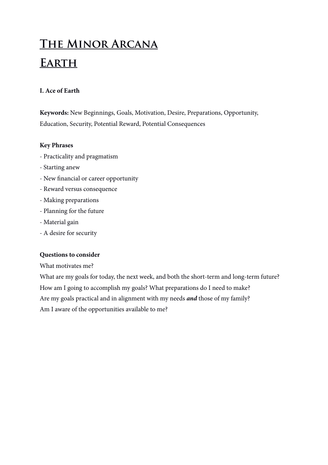# **The Minor Arcana Earth**

# **I. Ace of Earth**

**Keywords:** New Beginnings, Goals, Motivation, Desire, Preparations, Opportunity, Education, Security, Potential Reward, Potential Consequences

# **Key Phrases**

- Practicality and pragmatism
- Starting anew
- New fnancial or career opportunity
- Reward versus consequence
- Making preparations
- Planning for the future
- Material gain
- A desire for security

#### **Questions to consider**

What motivates me?

What are my goals for today, the next week, and both the short-term and long-term future? How am I going to accomplish my goals? What preparations do I need to make? Are my goals practical and in alignment with my needs *and* those of my family? Am I aware of the opportunities available to me?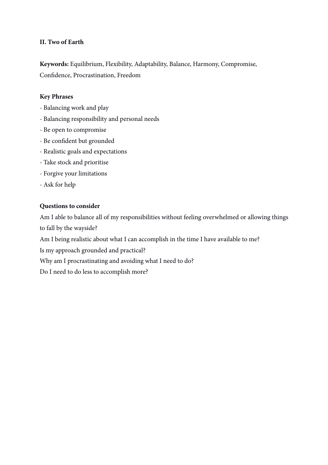# **II. Two of Earth**

**Keywords:** Equilibrium, Flexibility, Adaptability, Balance, Harmony, Compromise, Confdence, Procrastination, Freedom

#### **Key Phrases**

- Balancing work and play
- Balancing responsibility and personal needs
- Be open to compromise
- Be confdent but grounded
- Realistic goals and expectations
- Take stock and prioritise
- Forgive your limitations
- Ask for help

#### **Questions to consider**

Am I able to balance all of my responsibilities without feeling overwhelmed or allowing things to fall by the wayside?

Am I being realistic about what I can accomplish in the time I have available to me?

Is my approach grounded and practical?

Why am I procrastinating and avoiding what I need to do?

Do I need to do less to accomplish more?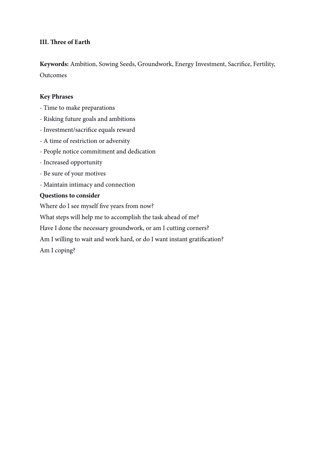# **III. Tree of Earth**

**Keywords:** Ambition, Sowing Seeds, Groundwork, Energy Investment, Sacrifce, Fertility, Outcomes

#### **Key Phrases**

- Time to make preparations
- Risking future goals and ambitions
- Investment/sacrifce equals reward
- A time of restriction or adversity
- People notice commitment and dedication
- Increased opportunity
- Be sure of your motives
- Maintain intimacy and connection

#### **Questions to consider**

Where do I see myself five years from now?

What steps will help me to accomplish the task ahead of me?

Have I done the necessary groundwork, or am I cutting corners?

Am I willing to wait and work hard, or do I want instant gratifcation?

Am I coping?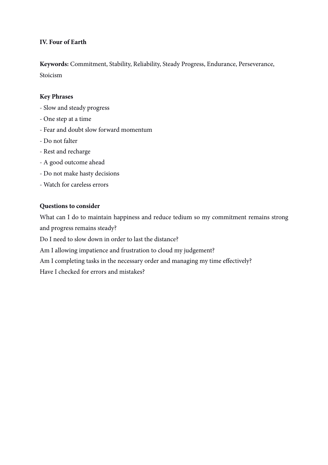# **IV. Four of Earth**

**Keywords:** Commitment, Stability, Reliability, Steady Progress, Endurance, Perseverance, Stoicism

#### **Key Phrases**

- Slow and steady progress
- One step at a time
- Fear and doubt slow forward momentum
- Do not falter
- Rest and recharge
- A good outcome ahead
- Do not make hasty decisions
- Watch for careless errors

#### **Questions to consider**

What can I do to maintain happiness and reduce tedium so my commitment remains strong and progress remains steady?

Do I need to slow down in order to last the distance?

Am I allowing impatience and frustration to cloud my judgement?

Am I completing tasks in the necessary order and managing my time effectively?

Have I checked for errors and mistakes?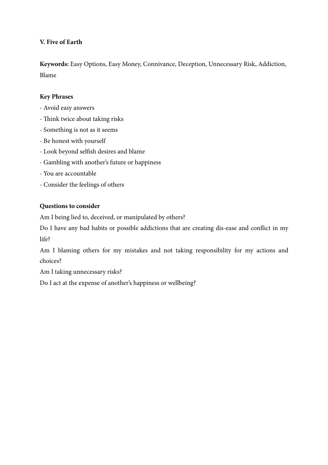# **V. Five of Earth**

**Keywords:** Easy Options, Easy Money, Connivance, Deception, Unnecessary Risk, Addiction, Blame

# **Key Phrases**

- Avoid easy answers
- Think twice about taking risks
- Something is not as it seems
- Be honest with yourself
- Look beyond selfsh desires and blame
- Gambling with another's future or happiness
- You are accountable
- Consider the feelings of others

# **Questions to consider**

Am I being lied to, deceived, or manipulated by others?

Do I have any bad habits or possible addictions that are creating dis-ease and confict in my life?

Am I blaming others for my mistakes and not taking responsibility for my actions and choices?

Am I taking unnecessary risks?

Do I act at the expense of another's happiness or wellbeing?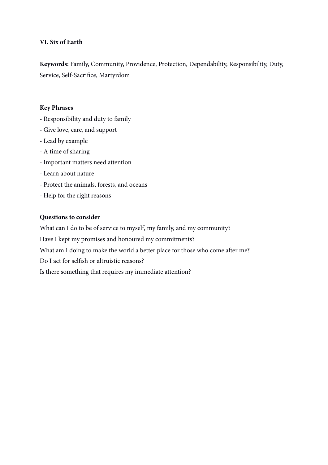# **VI. Six of Earth**

**Keywords:** Family, Community, Providence, Protection, Dependability, Responsibility, Duty, Service, Self-Sacrifce, Martyrdom

#### **Key Phrases**

- Responsibility and duty to family
- Give love, care, and support
- Lead by example
- A time of sharing
- Important matters need attention
- Learn about nature
- Protect the animals, forests, and oceans
- Help for the right reasons

#### **Questions to consider**

What can I do to be of service to myself, my family, and my community?

Have I kept my promises and honoured my commitments?

What am I doing to make the world a better place for those who come after me?

Do I act for selfsh or altruistic reasons?

Is there something that requires my immediate attention?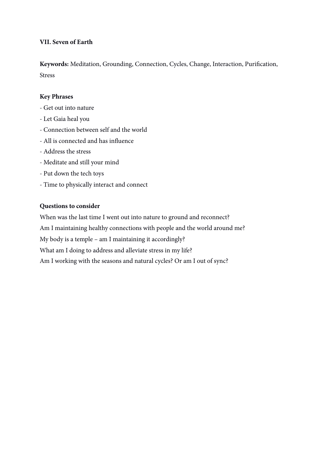# **VII. Seven of Earth**

**Keywords:** Meditation, Grounding, Connection, Cycles, Change, Interaction, Purifcation, Stress

#### **Key Phrases**

- Get out into nature
- Let Gaia heal you
- Connection between self and the world
- All is connected and has infuence
- Address the stress
- Meditate and still your mind
- Put down the tech toys
- Time to physically interact and connect

#### **Questions to consider**

When was the last time I went out into nature to ground and reconnect? Am I maintaining healthy connections with people and the world around me? My body is a temple – am I maintaining it accordingly? What am I doing to address and alleviate stress in my life? Am I working with the seasons and natural cycles? Or am I out of sync?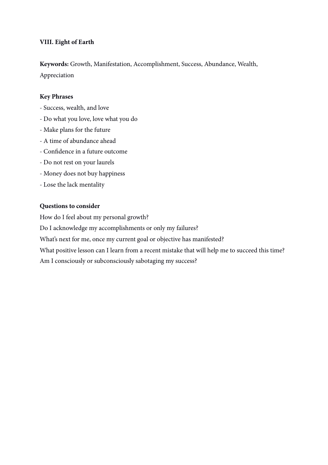# **VIII. Eight of Earth**

**Keywords:** Growth, Manifestation, Accomplishment, Success, Abundance, Wealth, Appreciation

#### **Key Phrases**

- Success, wealth, and love
- Do what you love, love what you do
- Make plans for the future
- A time of abundance ahead
- Confdence in a future outcome
- Do not rest on your laurels
- Money does not buy happiness
- Lose the lack mentality

#### **Questions to consider**

How do I feel about my personal growth?

Do I acknowledge my accomplishments or only my failures?

What's next for me, once my current goal or objective has manifested?

What positive lesson can I learn from a recent mistake that will help me to succeed this time?

Am I consciously or subconsciously sabotaging my success?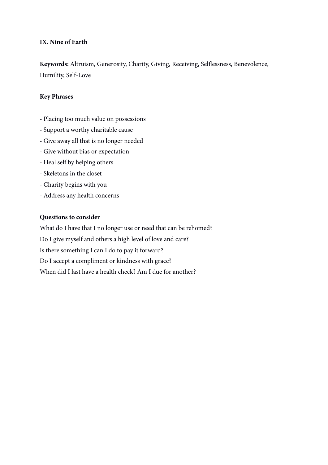# **IX. Nine of Earth**

**Keywords:** Altruism, Generosity, Charity, Giving, Receiving, Selfessness, Benevolence, Humility, Self-Love

#### **Key Phrases**

- Placing too much value on possessions
- Support a worthy charitable cause
- Give away all that is no longer needed
- Give without bias or expectation
- Heal self by helping others
- Skeletons in the closet
- Charity begins with you
- Address any health concerns

#### **Questions to consider**

What do I have that I no longer use or need that can be rehomed? Do I give myself and others a high level of love and care? Is there something I can I do to pay it forward? Do I accept a compliment or kindness with grace? When did I last have a health check? Am I due for another?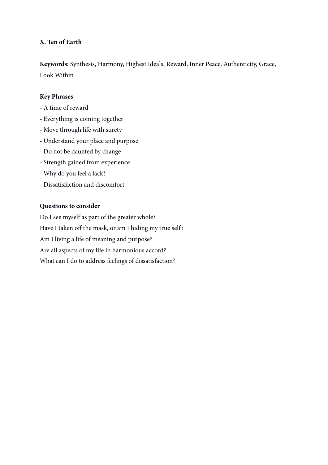# **X. Ten of Earth**

**Keywords:** Synthesis, Harmony, Highest Ideals, Reward, Inner Peace, Authenticity, Grace, Look Within

# **Key Phrases**

- A time of reward
- Everything is coming together
- Move through life with surety
- Understand your place and purpose
- Do not be daunted by change
- Strength gained from experience
- Why do you feel a lack?
- Dissatisfaction and discomfort

# **Questions to consider**

Do I see myself as part of the greater whole? Have I taken off the mask, or am I hiding my true self? Am I living a life of meaning and purpose? Are all aspects of my life in harmonious accord? What can I do to address feelings of dissatisfaction?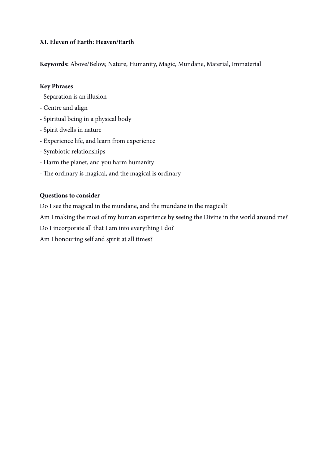# **XI. Eleven of Earth: Heaven/Earth**

**Keywords:** Above/Below, Nature, Humanity, Magic, Mundane, Material, Immaterial

# **Key Phrases**

- Separation is an illusion
- Centre and align
- Spiritual being in a physical body
- Spirit dwells in nature
- Experience life, and learn from experience
- Symbiotic relationships
- Harm the planet, and you harm humanity
- The ordinary is magical, and the magical is ordinary

# **Questions to consider**

Do I see the magical in the mundane, and the mundane in the magical?

Am I making the most of my human experience by seeing the Divine in the world around me?

Do I incorporate all that I am into everything I do?

Am I honouring self and spirit at all times?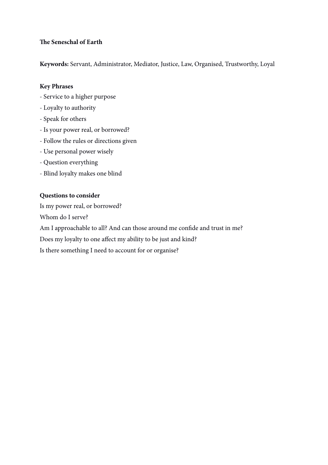# **Te Seneschal of Earth**

**Keywords:** Servant, Administrator, Mediator, Justice, Law, Organised, Trustworthy, Loyal

# **Key Phrases**

- Service to a higher purpose
- Loyalty to authority
- Speak for others
- Is your power real, or borrowed?
- Follow the rules or directions given
- Use personal power wisely
- Question everything
- Blind loyalty makes one blind

# **Questions to consider**

Is my power real, or borrowed? Whom do I serve? Am I approachable to all? And can those around me confde and trust in me? Does my loyalty to one affect my ability to be just and kind? Is there something I need to account for or organise?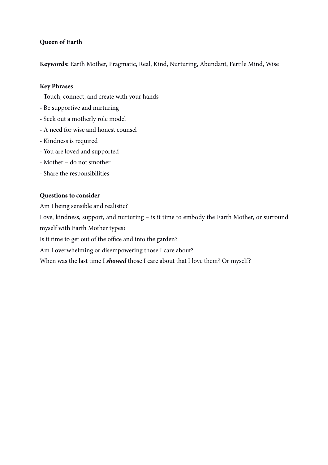# **Queen of Earth**

**Keywords:** Earth Mother, Pragmatic, Real, Kind, Nurturing, Abundant, Fertile Mind, Wise

#### **Key Phrases**

- Touch, connect, and create with your hands
- Be supportive and nurturing
- Seek out a motherly role model
- A need for wise and honest counsel
- Kindness is required
- You are loved and supported
- Mother do not smother
- Share the responsibilities

#### **Questions to consider**

Am I being sensible and realistic?

Love, kindness, support, and nurturing – is it time to embody the Earth Mother, or surround myself with Earth Mother types?

Is it time to get out of the office and into the garden?

Am I overwhelming or disempowering those I care about?

When was the last time I *showed* those I care about that I love them? Or myself?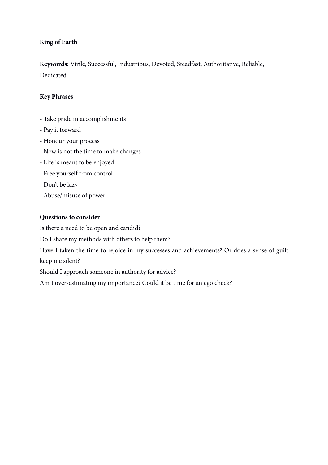# **King of Earth**

**Keywords:** Virile, Successful, Industrious, Devoted, Steadfast, Authoritative, Reliable, Dedicated

# **Key Phrases**

- Take pride in accomplishments
- Pay it forward
- Honour your process
- Now is not the time to make changes
- Life is meant to be enjoyed
- Free yourself from control
- Don't be lazy
- Abuse/misuse of power

# **Questions to consider**

Is there a need to be open and candid?

Do I share my methods with others to help them?

Have I taken the time to rejoice in my successes and achievements? Or does a sense of guilt keep me silent?

Should I approach someone in authority for advice?

Am I over-estimating my importance? Could it be time for an ego check?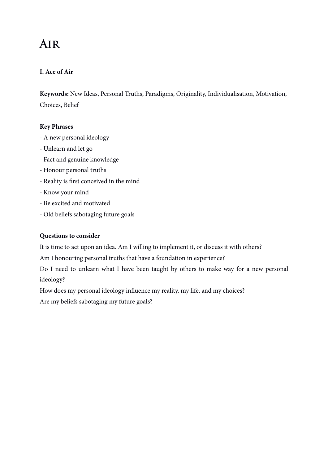# **Air**

# **I. Ace of Air**

**Keywords:** New Ideas, Personal Truths, Paradigms, Originality, Individualisation, Motivation, Choices, Belief

#### **Key Phrases**

- A new personal ideology
- Unlearn and let go
- Fact and genuine knowledge
- Honour personal truths
- Reality is frst conceived in the mind
- Know your mind
- Be excited and motivated
- Old beliefs sabotaging future goals

# **Questions to consider**

It is time to act upon an idea. Am I willing to implement it, or discuss it with others?

Am I honouring personal truths that have a foundation in experience?

Do I need to unlearn what I have been taught by others to make way for a new personal ideology?

How does my personal ideology infuence my reality, my life, and my choices?

Are my beliefs sabotaging my future goals?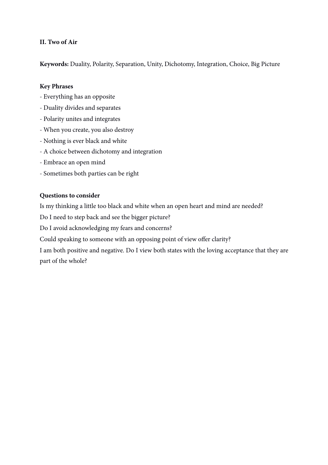# **II. Two of Air**

**Keywords:** Duality, Polarity, Separation, Unity, Dichotomy, Integration, Choice, Big Picture

#### **Key Phrases**

- Everything has an opposite
- Duality divides and separates
- Polarity unites and integrates
- When you create, you also destroy
- Nothing is ever black and white
- A choice between dichotomy and integration
- Embrace an open mind
- Sometimes both parties can be right

# **Questions to consider**

Is my thinking a little too black and white when an open heart and mind are needed?

Do I need to step back and see the bigger picture?

Do I avoid acknowledging my fears and concerns?

Could speaking to someone with an opposing point of view offer clarity?

I am both positive and negative. Do I view both states with the loving acceptance that they are part of the whole?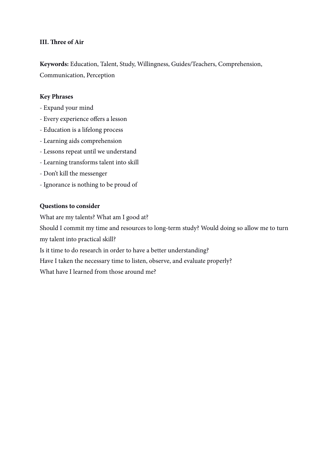#### **III. Tree of Air**

**Keywords:** Education, Talent, Study, Willingness, Guides/Teachers, Comprehension, Communication, Perception

#### **Key Phrases**

- Expand your mind
- Every experience offers a lesson
- Education is a lifelong process
- Learning aids comprehension
- Lessons repeat until we understand
- Learning transforms talent into skill
- Don't kill the messenger
- Ignorance is nothing to be proud of

#### **Questions to consider**

What are my talents? What am I good at? Should I commit my time and resources to long-term study? Would doing so allow me to turn my talent into practical skill? Is it time to do research in order to have a better understanding?

Have I taken the necessary time to listen, observe, and evaluate properly?

What have I learned from those around me?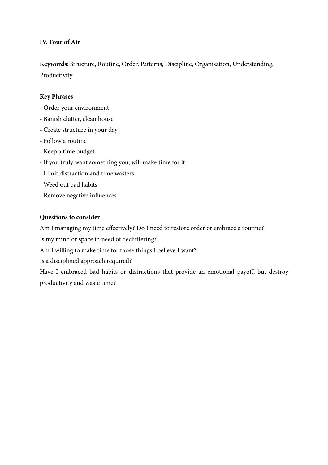#### **IV. Four of Air**

**Keywords:** Structure, Routine, Order, Patterns, Discipline, Organisation, Understanding, Productivity

#### **Key Phrases**

- Order your environment
- Banish clutter, clean house
- Create structure in your day
- Follow a routine
- Keep a time budget
- If you truly want something you, will make time for it
- Limit distraction and time wasters
- Weed out bad habits
- Remove negative infuences

#### **Questions to consider**

Am I managing my time effectively? Do I need to restore order or embrace a routine?

Is my mind or space in need of decluttering?

Am I willing to make time for those things I believe I want?

Is a disciplined approach required?

Have I embraced bad habits or distractions that provide an emotional payoff, but destroy productivity and waste time?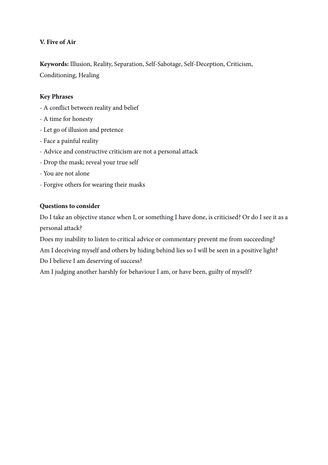# **V. Five of Air**

**Keywords:** Illusion, Reality, Separation, Self-Sabotage, Self-Deception, Criticism, Conditioning, Healing

# **Key Phrases**

- A confict between reality and belief
- A time for honesty
- Let go of illusion and pretence
- Face a painful reality
- Advice and constructive criticism are not a personal attack
- Drop the mask; reveal your true self
- You are not alone
- Forgive others for wearing their masks

#### **Questions to consider**

Do I take an objective stance when I, or something I have done, is criticised? Or do I see it as a personal attack?

Does my inability to listen to critical advice or commentary prevent me from succeeding? Am I deceiving myself and others by hiding behind lies so I will be seen in a positive light? Do I believe I am deserving of success?

Am I judging another harshly for behaviour I am, or have been, guilty of myself?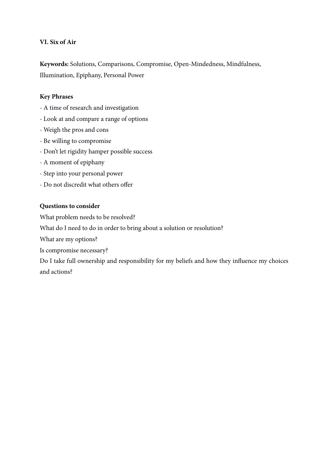# **VI. Six of Air**

**Keywords:** Solutions, Comparisons, Compromise, Open-Mindedness, Mindfulness, Illumination, Epiphany, Personal Power

# **Key Phrases**

- A time of research and investigation
- Look at and compare a range of options
- Weigh the pros and cons
- Be willing to compromise
- Don't let rigidity hamper possible success
- A moment of epiphany
- Step into your personal power
- Do not discredit what others offer

# **Questions to consider**

What problem needs to be resolved?

What do I need to do in order to bring about a solution or resolution?

What are my options?

Is compromise necessary?

Do I take full ownership and responsibility for my beliefs and how they infuence my choices and actions?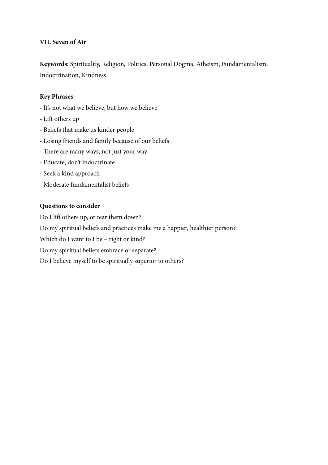# **VII. Seven of Air**

**Keywords:** Spirituality, Religion, Politics, Personal Dogma, Atheism, Fundamentalism, Indoctrination, Kindness

#### **Key Phrases**

- It's not what we believe, but how we believe
- Lift others up
- Beliefs that make us kinder people
- Losing friends and family because of our beliefs
- There are many ways, not just your way
- Educate, don't indoctrinate
- Seek a kind approach
- Moderate fundamentalist beliefs

#### **Questions to consider**

Do I lift others up, or tear them down? Do my spiritual beliefs and practices make me a happier, healthier person? Which do I want to I be – right or kind? Do my spiritual beliefs embrace or separate? Do I believe myself to be spiritually superior to others?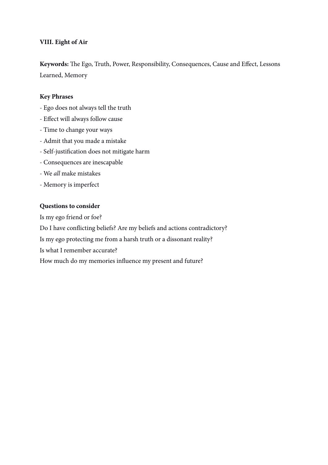#### **VIII. Eight of Air**

Keywords: The Ego, Truth, Power, Responsibility, Consequences, Cause and Effect, Lessons Learned, Memory

#### **Key Phrases**

- Ego does not always tell the truth
- Effect will always follow cause
- Time to change your ways
- Admit that you made a mistake
- Self-justifcation does not mitigate harm
- Consequences are inescapable
- We *all* make mistakes
- Memory is imperfect

#### **Questions to consider**

Is my ego friend or foe? Do I have conficting beliefs? Are my beliefs and actions contradictory? Is my ego protecting me from a harsh truth or a dissonant reality? Is what I remember accurate? How much do my memories infuence my present and future?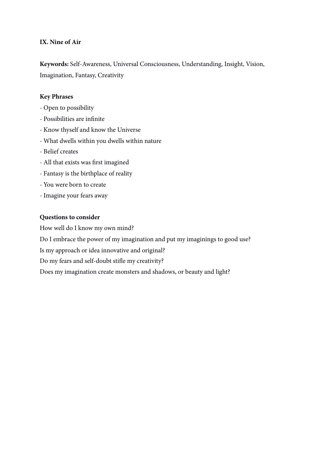#### **IX. Nine of Air**

**Keywords:** Self-Awareness, Universal Consciousness, Understanding, Insight, Vision, Imagination, Fantasy, Creativity

#### **Key Phrases**

- Open to possibility
- Possibilities are infnite
- Know thyself and know the Universe
- What dwells within you dwells within nature
- Belief creates
- All that exists was frst imagined
- Fantasy is the birthplace of reality
- You were born to create
- Imagine your fears away

#### **Questions to consider**

How well do I know my own mind?

Do I embrace the power of my imagination and put my imaginings to good use?

Is my approach or idea innovative and original?

Do my fears and self-doubt stife my creativity?

Does my imagination create monsters and shadows, or beauty and light?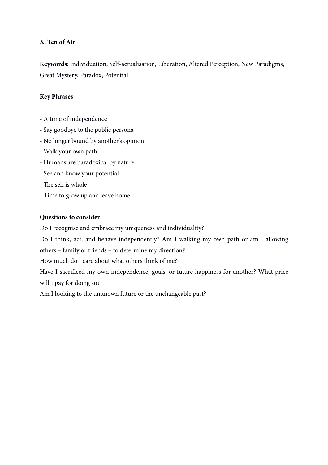# **X. Ten of Air**

**Keywords:** Individuation, Self-actualisation, Liberation, Altered Perception, New Paradigms, Great Mystery, Paradox, Potential

# **Key Phrases**

- A time of independence
- Say goodbye to the public persona
- No longer bound by another's opinion
- Walk your own path
- Humans are paradoxical by nature
- See and know your potential
- The self is whole
- Time to grow up and leave home

# **Questions to consider**

Do I recognise and embrace my uniqueness and individuality?

Do I think, act, and behave independently? Am I walking my own path or am I allowing others – family or friends – to determine my direction?

How much do I care about what others think of me?

Have I sacrifced my own independence, goals, or future happiness for another? What price will I pay for doing so?

Am I looking to the unknown future or the unchangeable past?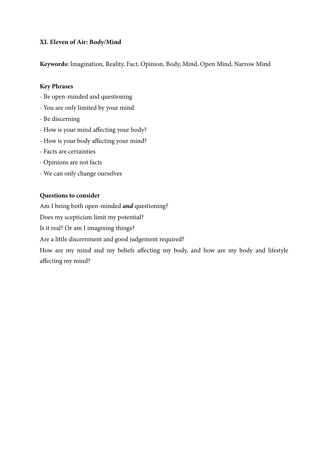# **XI. Eleven of Air: Body/Mind**

**Keywords:** Imagination, Reality, Fact, Opinion, Body, Mind, Open Mind, Narrow Mind

# **Key Phrases**

- Be open-minded and questioning
- You are only limited by your mind
- Be discerning
- How is your mind affecting your body?
- How is your body affecting your mind?
- Facts are certainties
- Opinions are not facts
- We can only change ourselves

# **Questions to consider**

Am I being both open-minded *and* questioning?

Does my scepticism limit my potential?

Is it real? Or am I imagining things?

Are a little discernment and good judgement required?

How are my mind and my beliefs affecting my body, and how are my body and lifestyle affecting my mind?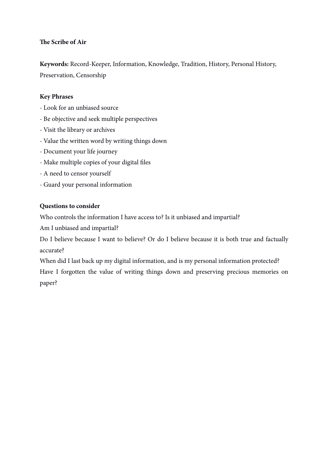# **Te Scribe of Air**

**Keywords:** Record-Keeper, Information, Knowledge, Tradition, History, Personal History, Preservation, Censorship

# **Key Phrases**

- Look for an unbiased source
- Be objective and seek multiple perspectives
- Visit the library or archives
- Value the written word by writing things down
- Document your life journey
- Make multiple copies of your digital fles
- A need to censor yourself
- Guard your personal information

# **Questions to consider**

Who controls the information I have access to? Is it unbiased and impartial?

Am I unbiased and impartial?

Do I believe because I want to believe? Or do I believe because it is both true and factually accurate?

When did I last back up my digital information, and is my personal information protected?

Have I forgotten the value of writing things down and preserving precious memories on paper?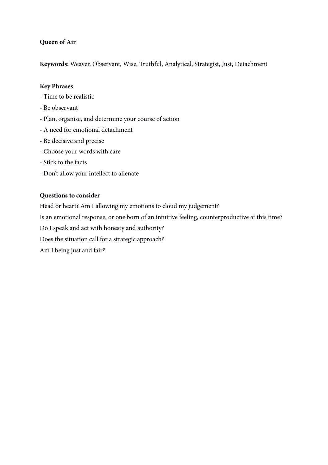# **Queen of Air**

**Keywords:** Weaver, Observant, Wise, Truthful, Analytical, Strategist, Just, Detachment

#### **Key Phrases**

- Time to be realistic
- Be observant
- Plan, organise, and determine your course of action
- A need for emotional detachment
- Be decisive and precise
- Choose your words with care
- Stick to the facts
- Don't allow your intellect to alienate

#### **Questions to consider**

Head or heart? Am I allowing my emotions to cloud my judgement?

Is an emotional response, or one born of an intuitive feeling, counterproductive at this time?

Do I speak and act with honesty and authority?

Does the situation call for a strategic approach?

Am I being just and fair?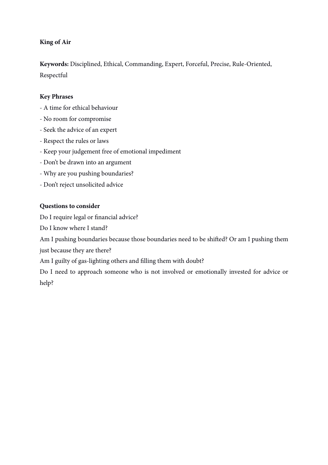# **King of Air**

**Keywords:** Disciplined, Ethical, Commanding, Expert, Forceful, Precise, Rule-Oriented, Respectful

# **Key Phrases**

- A time for ethical behaviour
- No room for compromise
- Seek the advice of an expert
- Respect the rules or laws
- Keep your judgement free of emotional impediment
- Don't be drawn into an argument
- Why are you pushing boundaries?
- Don't reject unsolicited advice

#### **Questions to consider**

Do I require legal or fnancial advice?

Do I know where I stand?

Am I pushing boundaries because those boundaries need to be shifed? Or am I pushing them just because they are there?

Am I guilty of gas-lighting others and flling them with doubt?

Do I need to approach someone who is not involved or emotionally invested for advice or help?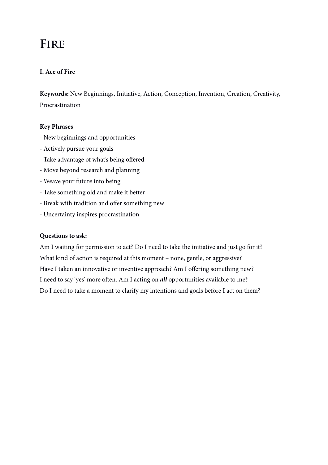# **Fire**

# **I. Ace of Fire**

**Keywords:** New Beginnings, Initiative, Action, Conception, Invention, Creation, Creativity, Procrastination

#### **Key Phrases**

- New beginnings and opportunities
- Actively pursue your goals
- Take advantage of what's being offered
- Move beyond research and planning
- Weave your future into being
- Take something old and make it better
- Break with tradition and offer something new
- Uncertainty inspires procrastination

#### **Questions to ask:**

Am I waiting for permission to act? Do I need to take the initiative and just go for it? What kind of action is required at this moment – none, gentle, or aggressive? Have I taken an innovative or inventive approach? Am I offering something new? I need to say 'yes' more ofen. Am I acting on *all* opportunities available to me? Do I need to take a moment to clarify my intentions and goals before I act on them?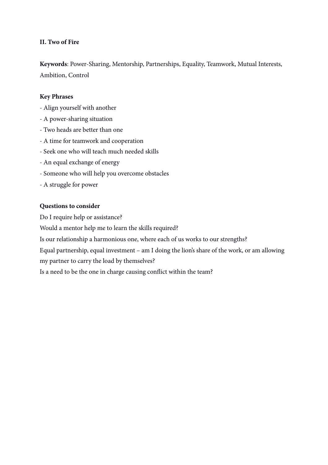#### **II. Two of Fire**

**Keywords**: Power-Sharing, Mentorship, Partnerships, Equality, Teamwork, Mutual Interests, Ambition, Control

#### **Key Phrases**

- Align yourself with another
- A power-sharing situation
- Two heads are better than one
- A time for teamwork and cooperation
- Seek one who will teach much needed skills
- An equal exchange of energy
- Someone who will help you overcome obstacles
- A struggle for power

#### **Questions to consider**

Do I require help or assistance?

Would a mentor help me to learn the skills required?

Is our relationship a harmonious one, where each of us works to our strengths?

Equal partnership, equal investment – am I doing the lion's share of the work, or am allowing my partner to carry the load by themselves?

Is a need to be the one in charge causing confict within the team?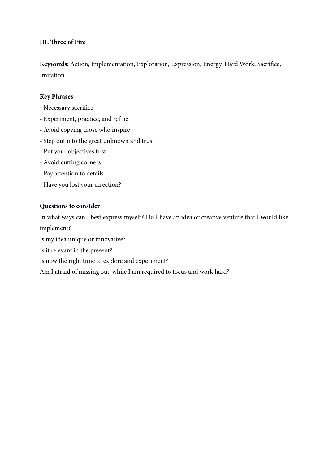#### **III. Tree of Fire**

**Keywords:** Action, Implementation, Exploration, Expression, Energy, Hard Work, Sacrifce, Imitation

#### **Key Phrases**

- Necessary sacrifce
- Experiment, practice, and refne
- Avoid copying those who inspire
- Step out into the great unknown and trust
- Put your objectives frst
- Avoid cutting corners
- Pay attention to details
- Have you lost your direction?

#### **Questions to consider**

In what ways can I best express myself? Do I have an idea or creative venture that I would like implement?

Is my idea unique or innovative?

Is it relevant in the present?

Is now the right time to explore and experiment?

Am I afraid of missing out, while I am required to focus and work hard?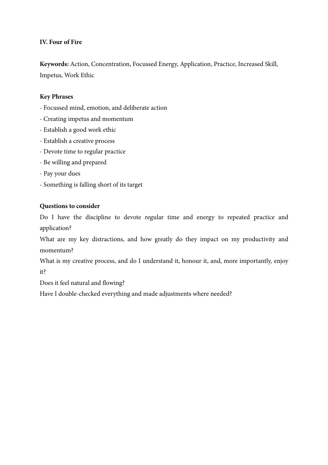# **IV. Four of Fire**

**Keywords:** Action, Concentration, Focussed Energy, Application, Practice, Increased Skill, Impetus, Work Ethic

# **Key Phrases**

- Focussed mind, emotion, and deliberate action
- Creating impetus and momentum
- Establish a good work ethic
- Establish a creative process
- Devote time to regular practice
- Be willing and prepared
- Pay your dues
- Something is falling short of its target

# **Questions to consider**

Do I have the discipline to devote regular time and energy to repeated practice and application?

What are my key distractions, and how greatly do they impact on my productivity and momentum?

What is my creative process, and do I understand it, honour it, and, more importantly, enjoy it?

Does it feel natural and flowing?

Have I double-checked everything and made adjustments where needed?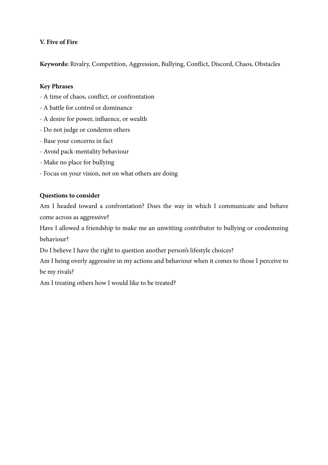# **V. Five of Fire**

**Keywords:** Rivalry, Competition, Aggression, Bullying, Confict, Discord, Chaos, Obstacles

# **Key Phrases**

- A time of chaos, confict, or confrontation
- A battle for control or dominance
- A desire for power, infuence, or wealth
- Do not judge or condemn others
- Base your concerns in fact
- Avoid pack-mentality behaviour
- Make no place for bullying
- Focus on your vision, not on what others are doing

# **Questions to consider**

Am I headed toward a confrontation? Does the way in which I communicate and behave come across as aggressive?

Have I allowed a friendship to make me an unwitting contributor to bullying or condemning behaviour?

Do I believe I have the right to question another person's lifestyle choices?

Am I being overly aggressive in my actions and behaviour when it comes to those I perceive to be my rivals?

Am I treating others how I would like to be treated?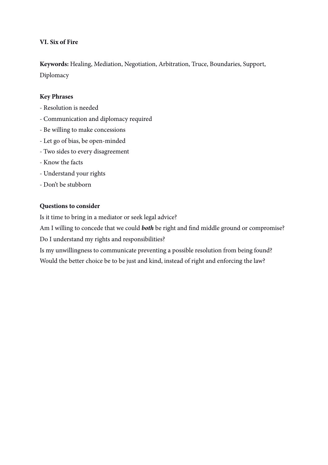# **VI. Six of Fire**

**Keywords:** Healing, Mediation, Negotiation, Arbitration, Truce, Boundaries, Support, Diplomacy

# **Key Phrases**

- Resolution is needed
- Communication and diplomacy required
- Be willing to make concessions
- Let go of bias, be open-minded
- Two sides to every disagreement
- Know the facts
- Understand your rights
- Don't be stubborn

# **Questions to consider**

Is it time to bring in a mediator or seek legal advice?

Am I willing to concede that we could *both* be right and fnd middle ground or compromise?

Do I understand my rights and responsibilities?

Is my unwillingness to communicate preventing a possible resolution from being found? Would the better choice be to be just and kind, instead of right and enforcing the law?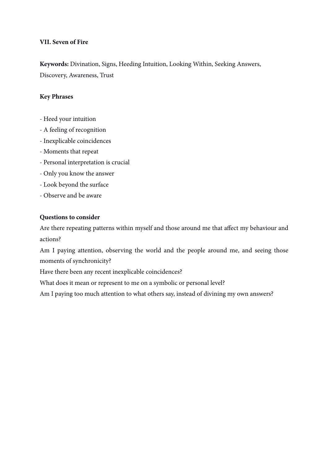#### **VII. Seven of Fire**

**Keywords:** Divination, Signs, Heeding Intuition, Looking Within, Seeking Answers, Discovery, Awareness, Trust

#### **Key Phrases**

- Heed your intuition
- A feeling of recognition
- Inexplicable coincidences
- Moments that repeat
- Personal interpretation is crucial
- Only you know the answer
- Look beyond the surface
- Observe and be aware

#### **Questions to consider**

Are there repeating patterns within myself and those around me that affect my behaviour and actions?

Am I paying attention, observing the world and the people around me, and seeing those moments of synchronicity?

Have there been any recent inexplicable coincidences?

What does it mean or represent to me on a symbolic or personal level?

Am I paying too much attention to what others say, instead of divining my own answers?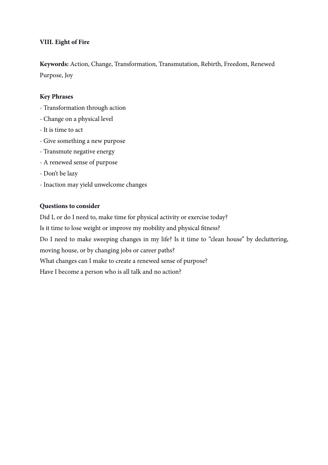## **VIII. Eight of Fire**

**Keywords:** Action, Change, Transformation, Transmutation, Rebirth, Freedom, Renewed Purpose, Joy

#### **Key Phrases**

- Transformation through action
- Change on a physical level
- It is time to act
- Give something a new purpose
- Transmute negative energy
- A renewed sense of purpose
- Don't be lazy
- Inaction may yield unwelcome changes

#### **Questions to consider**

Did I, or do I need to, make time for physical activity or exercise today? Is it time to lose weight or improve my mobility and physical ftness? Do I need to make sweeping changes in my life? Is it time to "clean house" by decluttering, moving house, or by changing jobs or career paths? What changes can I make to create a renewed sense of purpose? Have I become a person who is all talk and no action?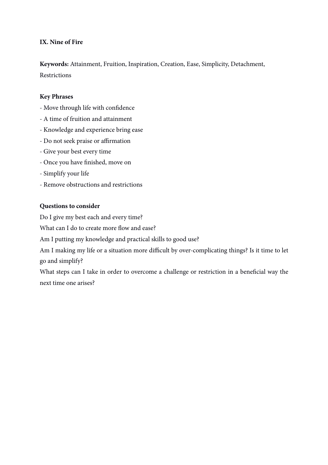## **IX. Nine of Fire**

**Keywords:** Attainment, Fruition, Inspiration, Creation, Ease, Simplicity, Detachment, Restrictions

#### **Key Phrases**

- Move through life with confdence
- A time of fruition and attainment
- Knowledge and experience bring ease
- Do not seek praise or affirmation
- Give your best every time
- Once you have fnished, move on
- Simplify your life
- Remove obstructions and restrictions

#### **Questions to consider**

Do I give my best each and every time?

What can I do to create more flow and ease?

Am I putting my knowledge and practical skills to good use?

Am I making my life or a situation more difficult by over-complicating things? Is it time to let go and simplify?

What steps can I take in order to overcome a challenge or restriction in a beneficial way the next time one arises?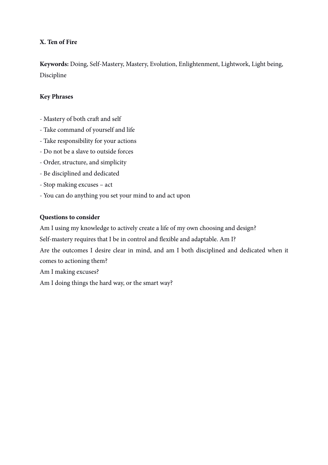## **X. Ten of Fire**

**Keywords:** Doing, Self-Mastery, Mastery, Evolution, Enlightenment, Lightwork, Light being, Discipline

## **Key Phrases**

- Mastery of both craft and self
- Take command of yourself and life
- Take responsibility for your actions
- Do not be a slave to outside forces
- Order, structure, and simplicity
- Be disciplined and dedicated
- Stop making excuses act
- You can do anything you set your mind to and act upon

## **Questions to consider**

Am I using my knowledge to actively create a life of my own choosing and design?

Self-mastery requires that I be in control and fexible and adaptable. Am I?

Are the outcomes I desire clear in mind, and am I both disciplined and dedicated when it comes to actioning them?

Am I making excuses?

Am I doing things the hard way, or the smart way?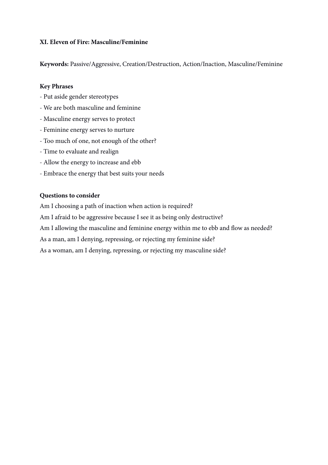## **XI. Eleven of Fire: Masculine/Feminine**

**Keywords:** Passive/Aggressive, Creation/Destruction, Action/Inaction, Masculine/Feminine

#### **Key Phrases**

- Put aside gender stereotypes
- We are both masculine and feminine
- Masculine energy serves to protect
- Feminine energy serves to nurture
- Too much of one, not enough of the other?
- Time to evaluate and realign
- Allow the energy to increase and ebb
- Embrace the energy that best suits your needs

#### **Questions to consider**

Am I choosing a path of inaction when action is required? Am I afraid to be aggressive because I see it as being only destructive? Am I allowing the masculine and feminine energy within me to ebb and flow as needed? As a man, am I denying, repressing, or rejecting my feminine side? As a woman, am I denying, repressing, or rejecting my masculine side?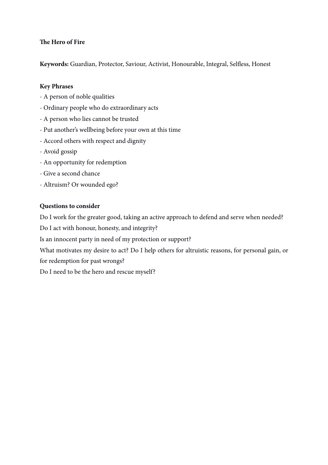## **The Hero of Fire**

**Keywords:** Guardian, Protector, Saviour, Activist, Honourable, Integral, Selfess, Honest

## **Key Phrases**

- A person of noble qualities
- Ordinary people who do extraordinary acts
- A person who lies cannot be trusted
- Put another's wellbeing before your own at this time
- Accord others with respect and dignity
- Avoid gossip
- An opportunity for redemption
- Give a second chance
- Altruism? Or wounded ego?

## **Questions to consider**

Do I work for the greater good, taking an active approach to defend and serve when needed?

Do I act with honour, honesty, and integrity?

Is an innocent party in need of my protection or support?

What motivates my desire to act? Do I help others for altruistic reasons, for personal gain, or for redemption for past wrongs?

Do I need to be the hero and rescue myself?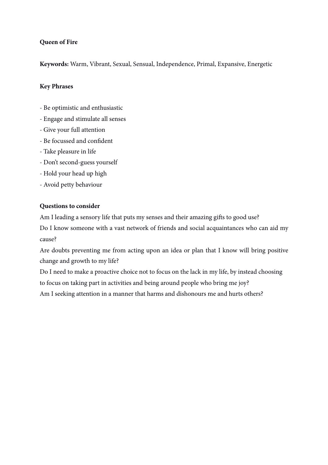## **Queen of Fire**

**Keywords:** Warm, Vibrant, Sexual, Sensual, Independence, Primal, Expansive, Energetic

## **Key Phrases**

- Be optimistic and enthusiastic
- Engage and stimulate all senses
- Give your full attention
- Be focussed and confdent
- Take pleasure in life
- Don't second-guess yourself
- Hold your head up high
- Avoid petty behaviour

## **Questions to consider**

Am I leading a sensory life that puts my senses and their amazing gifs to good use?

Do I know someone with a vast network of friends and social acquaintances who can aid my cause?

Are doubts preventing me from acting upon an idea or plan that I know will bring positive change and growth to my life?

Do I need to make a proactive choice not to focus on the lack in my life, by instead choosing to focus on taking part in activities and being around people who bring me joy? Am I seeking attention in a manner that harms and dishonours me and hurts others?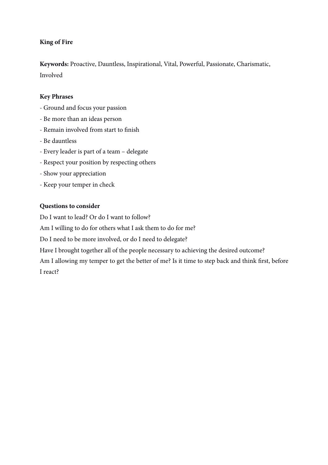## **King of Fire**

**Keywords:** Proactive, Dauntless, Inspirational, Vital, Powerful, Passionate, Charismatic, Involved

## **Key Phrases**

- Ground and focus your passion
- Be more than an ideas person
- Remain involved from start to fnish
- Be dauntless
- Every leader is part of a team delegate
- Respect your position by respecting others
- Show your appreciation
- Keep your temper in check

## **Questions to consider**

Do I want to lead? Or do I want to follow?

Am I willing to do for others what I ask them to do for me?

Do I need to be more involved, or do I need to delegate?

Have I brought together all of the people necessary to achieving the desired outcome?

Am I allowing my temper to get the better of me? Is it time to step back and think frst, before I react?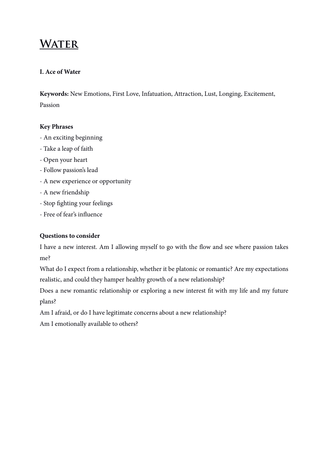## **WATER**

## **I. Ace of Water**

**Keywords:** New Emotions, First Love, Infatuation, Attraction, Lust, Longing, Excitement, Passion

## **Key Phrases**

- An exciting beginning
- Take a leap of faith
- Open your heart
- Follow passion's lead
- A new experience or opportunity
- A new friendship
- Stop fghting your feelings
- Free of fear's infuence

## **Questions to consider**

I have a new interest. Am I allowing myself to go with the flow and see where passion takes me?

What do I expect from a relationship, whether it be platonic or romantic? Are my expectations realistic, and could they hamper healthy growth of a new relationship?

Does a new romantic relationship or exploring a new interest ft with my life and my future plans?

Am I afraid, or do I have legitimate concerns about a new relationship?

Am I emotionally available to others?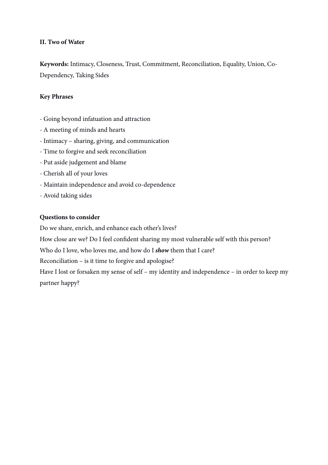## **II. Two of Water**

**Keywords:** Intimacy, Closeness, Trust, Commitment, Reconciliation, Equality, Union, Co-Dependency, Taking Sides

## **Key Phrases**

- Going beyond infatuation and attraction
- A meeting of minds and hearts
- Intimacy sharing, giving, and communication
- Time to forgive and seek reconciliation
- Put aside judgement and blame
- Cherish all of your loves
- Maintain independence and avoid co-dependence
- Avoid taking sides

## **Questions to consider**

Do we share, enrich, and enhance each other's lives?

How close are we? Do I feel confdent sharing my most vulnerable self with this person?

Who do I love, who loves me, and how do I *show* them that I care?

Reconciliation – is it time to forgive and apologise?

Have I lost or forsaken my sense of self – my identity and independence – in order to keep my partner happy?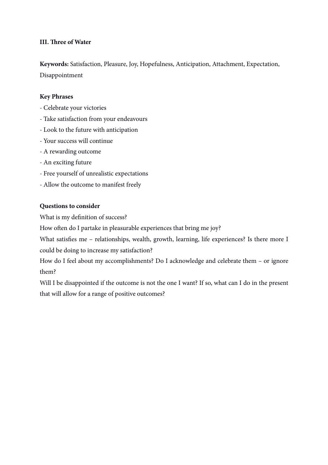## **III. Tree of Water**

**Keywords:** Satisfaction, Pleasure, Joy, Hopefulness, Anticipation, Attachment, Expectation, Disappointment

#### **Key Phrases**

- Celebrate your victories
- Take satisfaction from your endeavours
- Look to the future with anticipation
- Your success will continue
- A rewarding outcome
- An exciting future
- Free yourself of unrealistic expectations
- Allow the outcome to manifest freely

#### **Questions to consider**

What is my defnition of success?

How often do I partake in pleasurable experiences that bring me joy?

What satisfies me - relationships, wealth, growth, learning, life experiences? Is there more I could be doing to increase my satisfaction?

How do I feel about my accomplishments? Do I acknowledge and celebrate them – or ignore them?

Will I be disappointed if the outcome is not the one I want? If so, what can I do in the present that will allow for a range of positive outcomes?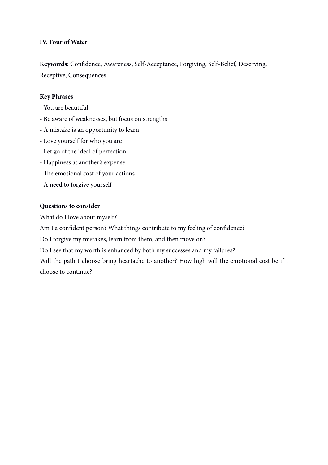#### **IV. Four of Water**

**Keywords:** Confdence, Awareness, Self-Acceptance, Forgiving, Self-Belief, Deserving, Receptive, Consequences

#### **Key Phrases**

- You are beautiful
- Be aware of weaknesses, but focus on strengths
- A mistake is an opportunity to learn
- Love yourself for who you are
- Let go of the ideal of perfection
- Happiness at another's expense
- The emotional cost of your actions
- A need to forgive yourself

#### **Questions to consider**

What do I love about myself?

Am I a confident person? What things contribute to my feeling of confidence?

Do I forgive my mistakes, learn from them, and then move on?

Do I see that my worth is enhanced by both my successes and my failures?

Will the path I choose bring heartache to another? How high will the emotional cost be if I choose to continue?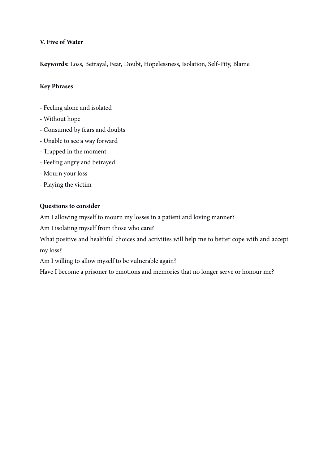## **V. Five of Water**

**Keywords:** Loss, Betrayal, Fear, Doubt, Hopelessness, Isolation, Self-Pity, Blame

## **Key Phrases**

- Feeling alone and isolated
- Without hope
- Consumed by fears and doubts
- Unable to see a way forward
- Trapped in the moment
- Feeling angry and betrayed
- Mourn your loss
- Playing the victim

#### **Questions to consider**

Am I allowing myself to mourn my losses in a patient and loving manner?

Am I isolating myself from those who care?

What positive and healthful choices and activities will help me to better cope with and accept my loss?

Am I willing to allow myself to be vulnerable again?

Have I become a prisoner to emotions and memories that no longer serve or honour me?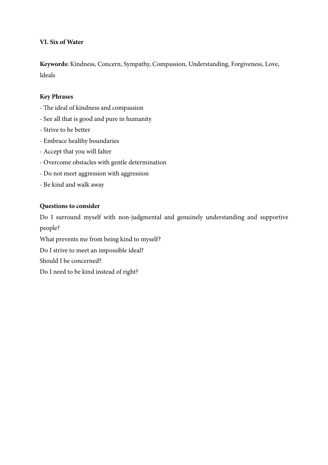## **VI. Six of Water**

**Keywords:** Kindness, Concern, Sympathy, Compassion, Understanding, Forgiveness, Love, Ideals

#### **Key Phrases**

- The ideal of kindness and compassion
- See all that is good and pure in humanity
- Strive to be better
- Embrace healthy boundaries
- Accept that you will falter
- Overcome obstacles with gentle determination
- Do not meet aggression with aggression
- Be kind and walk away

#### **Questions to consider**

Do I surround myself with non-judgmental and genuinely understanding and supportive people?

What prevents me from being kind to myself?

Do I strive to meet an impossible ideal?

Should I be concerned?

Do I need to be kind instead of right?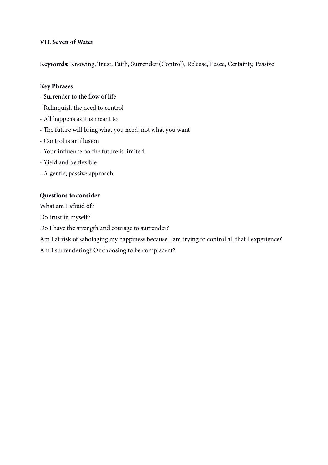## **VII. Seven of Water**

**Keywords:** Knowing, Trust, Faith, Surrender (Control), Release, Peace, Certainty, Passive

#### **Key Phrases**

- Surrender to the fow of life
- Relinquish the need to control
- All happens as it is meant to
- The future will bring what you need, not what you want
- Control is an illusion
- Your infuence on the future is limited
- Yield and be fexible
- A gentle, passive approach

#### **Questions to consider**

What am I afraid of?

Do trust in myself?

Do I have the strength and courage to surrender?

Am I at risk of sabotaging my happiness because I am trying to control all that I experience?

Am I surrendering? Or choosing to be complacent?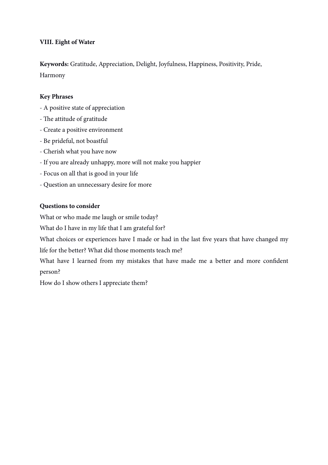## **VIII. Eight of Water**

**Keywords:** Gratitude, Appreciation, Delight, Joyfulness, Happiness, Positivity, Pride, Harmony

## **Key Phrases**

- A positive state of appreciation
- The attitude of gratitude
- Create a positive environment
- Be prideful, not boastful
- Cherish what you have now
- If you are already unhappy, more will not make you happier
- Focus on all that is good in your life
- Question an unnecessary desire for more

## **Questions to consider**

What or who made me laugh or smile today?

What do I have in my life that I am grateful for?

What choices or experiences have I made or had in the last five years that have changed my life for the better? What did those moments teach me?

What have I learned from my mistakes that have made me a better and more confdent person?

How do I show others I appreciate them?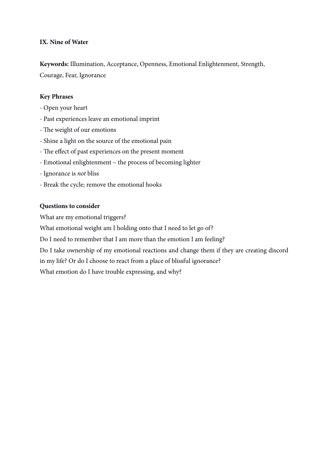## **IX. Nine of Water**

**Keywords:** Illumination, Acceptance, Openness, Emotional Enlightenment, Strength, Courage, Fear, Ignorance

## **Key Phrases**

- Open your heart
- Past experiences leave an emotional imprint
- The weight of our emotions
- Shine a light on the source of the emotional pain
- The effect of past experiences on the present moment
- Emotional enlightenment the process of becoming lighter
- Ignorance is *not* bliss
- Break the cycle; remove the emotional hooks

#### **Questions to consider**

What are my emotional triggers?

What emotional weight am I holding onto that I need to let go of?

Do I need to remember that I am more than the emotion I am feeling?

Do I take ownership of my emotional reactions and change them if they are creating discord

in my life? Or do I choose to react from a place of blissful ignorance?

What emotion do I have trouble expressing, and why?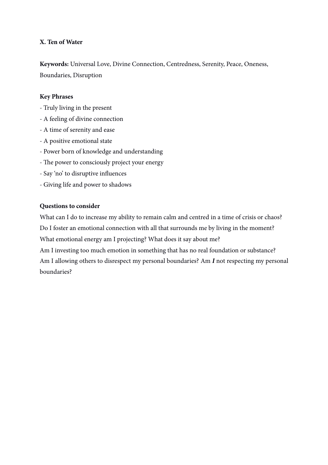## **X. Ten of Water**

**Keywords:** Universal Love, Divine Connection, Centredness, Serenity, Peace, Oneness, Boundaries, Disruption

#### **Key Phrases**

- Truly living in the present
- A feeling of divine connection
- A time of serenity and ease
- A positive emotional state
- Power born of knowledge and understanding
- The power to consciously project your energy
- Say 'no' to disruptive infuences
- Giving life and power to shadows

#### **Questions to consider**

What can I do to increase my ability to remain calm and centred in a time of crisis or chaos? Do I foster an emotional connection with all that surrounds me by living in the moment? What emotional energy am I projecting? What does it say about me?

Am I investing too much emotion in something that has no real foundation or substance? Am I allowing others to disrespect my personal boundaries? Am *I* not respecting my personal boundaries?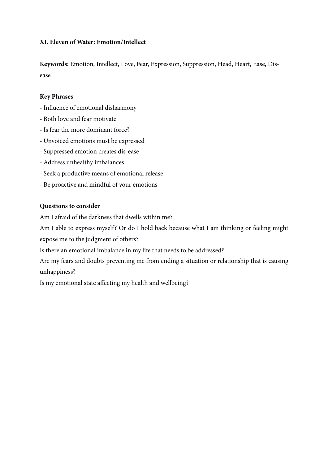## **XI. Eleven of Water: Emotion/Intellect**

**Keywords:** Emotion, Intellect, Love, Fear, Expression, Suppression, Head, Heart, Ease, Disease

#### **Key Phrases**

- Infuence of emotional disharmony
- Both love and fear motivate
- Is fear the more dominant force?
- Unvoiced emotions must be expressed
- Suppressed emotion creates dis-ease
- Address unhealthy imbalances
- Seek a productive means of emotional release
- Be proactive and mindful of your emotions

#### **Questions to consider**

Am I afraid of the darkness that dwells within me?

Am I able to express myself? Or do I hold back because what I am thinking or feeling might expose me to the judgment of others?

Is there an emotional imbalance in my life that needs to be addressed?

Are my fears and doubts preventing me from ending a situation or relationship that is causing unhappiness?

Is my emotional state affecting my health and wellbeing?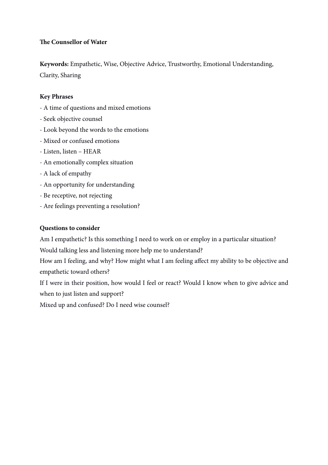## **Te Counsellor of Water**

**Keywords:** Empathetic, Wise, Objective Advice, Trustworthy, Emotional Understanding, Clarity, Sharing

## **Key Phrases**

- A time of questions and mixed emotions
- Seek objective counsel
- Look beyond the words to the emotions
- Mixed or confused emotions
- Listen, listen HEAR
- An emotionally complex situation
- A lack of empathy
- An opportunity for understanding
- Be receptive, not rejecting
- Are feelings preventing a resolution?

## **Questions to consider**

Am I empathetic? Is this something I need to work on or employ in a particular situation?

Would talking less and listening more help me to understand?

How am I feeling, and why? How might what I am feeling affect my ability to be objective and empathetic toward others?

If I were in their position, how would I feel or react? Would I know when to give advice and when to just listen and support?

Mixed up and confused? Do I need wise counsel?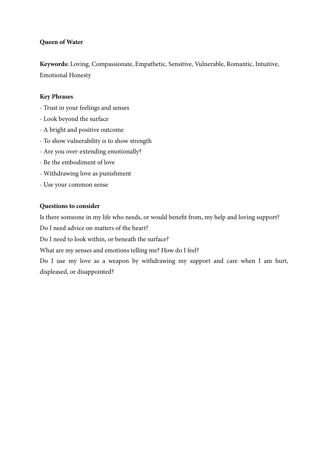## **Queen of Water**

**Keywords:** Loving, Compassionate, Empathetic, Sensitive, Vulnerable, Romantic, Intuitive, Emotional Honesty

## **Key Phrases**

- Trust in your feelings and senses
- Look beyond the surface
- A bright and positive outcome
- To show vulnerability is to show strength
- Are you over-extending emotionally?
- Be the embodiment of love
- Withdrawing love as punishment
- Use your common sense

#### **Questions to consider**

Is there someone in my life who needs, or would beneft from, my help and loving support?

Do I need advice on matters of the heart?

Do I need to look within, or beneath the surface?

What are my senses and emotions telling me? How do I feel?

Do I use my love as a weapon by withdrawing my support and care when I am hurt, displeased, or disappointed?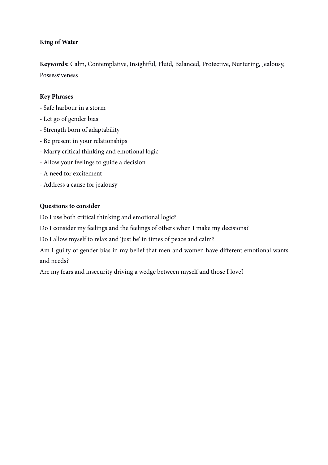## **King of Water**

**Keywords:** Calm, Contemplative, Insightful, Fluid, Balanced, Protective, Nurturing, Jealousy, Possessiveness

## **Key Phrases**

- Safe harbour in a storm
- Let go of gender bias
- Strength born of adaptability
- Be present in your relationships
- Marry critical thinking and emotional logic
- Allow your feelings to guide a decision
- A need for excitement
- Address a cause for jealousy

## **Questions to consider**

Do I use both critical thinking and emotional logic?

Do I consider my feelings and the feelings of others when I make my decisions?

Do I allow myself to relax and 'just be' in times of peace and calm?

Am I guilty of gender bias in my belief that men and women have different emotional wants and needs?

Are my fears and insecurity driving a wedge between myself and those I love?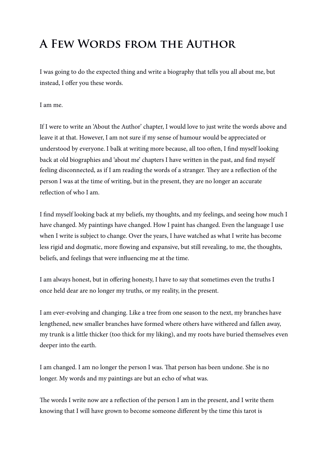# **A Few Words from the Author**

I was going to do the expected thing and write a biography that tells you all about me, but instead, I offer you these words.

I am me.

If I were to write an 'About the Author' chapter, I would love to just write the words above and leave it at that. However, I am not sure if my sense of humour would be appreciated or understood by everyone. I balk at writing more because, all too ofen, I fnd myself looking back at old biographies and 'about me' chapters I have written in the past, and fnd myself feeling disconnected, as if I am reading the words of a stranger. They are a reflection of the person I was at the time of writing, but in the present, they are no longer an accurate refection of who I am.

I fnd myself looking back at my beliefs, my thoughts, and my feelings, and seeing how much I have changed. My paintings have changed. How I paint has changed. Even the language I use when I write is subject to change. Over the years, I have watched as what I write has become less rigid and dogmatic, more fowing and expansive, but still revealing, to me, the thoughts, beliefs, and feelings that were infuencing me at the time.

I am always honest, but in offering honesty, I have to say that sometimes even the truths I once held dear are no longer my truths, or my reality, in the present.

I am ever-evolving and changing. Like a tree from one season to the next, my branches have lengthened, new smaller branches have formed where others have withered and fallen away, my trunk is a little thicker (too thick for my liking), and my roots have buried themselves even deeper into the earth.

I am changed. I am no longer the person I was. Tat person has been undone. She is no longer. My words and my paintings are but an echo of what was.

The words I write now are a reflection of the person I am in the present, and I write them knowing that I will have grown to become someone different by the time this tarot is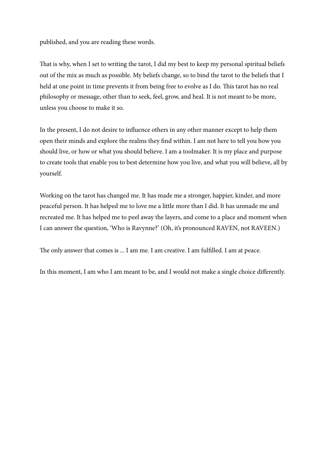published, and you are reading these words.

That is why, when I set to writing the tarot, I did my best to keep my personal spiritual beliefs out of the mix as much as possible. My beliefs change, so to bind the tarot to the beliefs that I held at one point in time prevents it from being free to evolve as I do. This tarot has no real philosophy or message, other than to seek, feel, grow, and heal. It is not meant to be more, unless you choose to make it so.

In the present, I do not desire to infuence others in any other manner except to help them open their minds and explore the realms they fnd within. I am not here to tell you how you should live, or how or what you should believe. I am a toolmaker. It is my place and purpose to create tools that enable you to best determine how you live, and what you will believe, all by yourself.

Working on the tarot has changed me. It has made me a stronger, happier, kinder, and more peaceful person. It has helped me to love me a little more than I did. It has unmade me and recreated me. It has helped me to peel away the layers, and come to a place and moment when I can answer the question, 'Who is Ravynne?' (Oh, it's pronounced RAVEN, not RAVEEN.)

The only answer that comes is ... I am me. I am creative. I am fulfilled. I am at peace.

In this moment, I am who I am meant to be, and I would not make a single choice differently.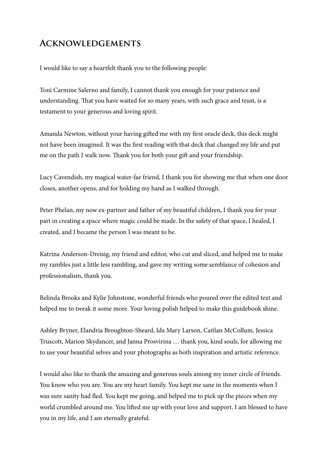## **Acknowledgements**

I would like to say a heartfelt thank you to the following people:

Toni Carmine Salerno and family, I cannot thank you enough for your patience and understanding. That you have waited for so many years, with such grace and trust, is a testament to your generous and loving spirit.

Amanda Newton, without your having gifed me with my frst oracle deck, this deck might not have been imagined. It was the frst reading with that deck that changed my life and put me on the path I walk now. Thank you for both your gift and your friendship.

Lucy Cavendish, my magical water-fae friend, I thank you for showing me that when one door closes, another opens, and for holding my hand as I walked through.

Peter Phelan, my now ex-partner and father of my beautiful children, I thank you for your part in creating a space where magic could be made. In the safety of that space, I healed, I created, and I became the person I was meant to be.

Katrina Anderson-Dreisig, my friend and editor, who cut and sliced, and helped me to make my rambles just a little less rambling, and gave my writing some semblance of cohesion and professionalism, thank you.

Belinda Brooks and Kylie Johnstone, wonderful friends who poured over the edited text and helped me to tweak it some more. Your loving polish helped to make this guidebook shine.

Ashley Bryner, Elandria Broughton-Sheard, Ida Mary Larson, Caitlan McCollum, Jessica Truscott, Marion Skydancer, and Janna Prosvirina … thank you, kind souls, for allowing me to use your beautiful selves and your photographs as both inspiration and artistic reference.

I would also like to thank the amazing and generous souls among my inner circle of friends. You know who you are. You are my heart family. You kept me sane in the moments when I was sure sanity had fed. You kept me going, and helped me to pick up the pieces when my world crumbled around me. You lifed me up with your love and support. I am blessed to have you in my life, and I am eternally grateful.